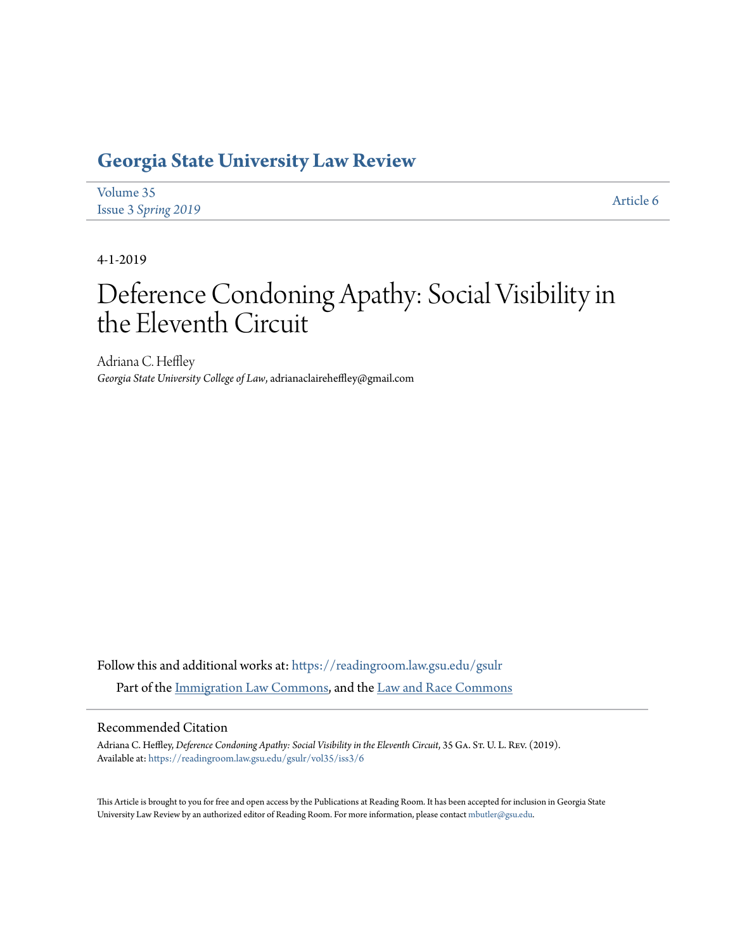# **[Georgia State University Law Review](https://readingroom.law.gsu.edu/gsulr?utm_source=readingroom.law.gsu.edu%2Fgsulr%2Fvol35%2Fiss3%2F6&utm_medium=PDF&utm_campaign=PDFCoverPages)**

| Volume 35           | Article 6 |
|---------------------|-----------|
| Issue 3 Spring 2019 |           |

4-1-2019

# Deference Condoning Apathy: Social Visibility in the Eleventh Circuit

Adriana C. Heffley *Georgia State University College of Law*, adrianaclaireheffley@gmail.com

Follow this and additional works at: [https://readingroom.law.gsu.edu/gsulr](https://readingroom.law.gsu.edu/gsulr?utm_source=readingroom.law.gsu.edu%2Fgsulr%2Fvol35%2Fiss3%2F6&utm_medium=PDF&utm_campaign=PDFCoverPages) Part of the [Immigration Law Commons,](http://network.bepress.com/hgg/discipline/604?utm_source=readingroom.law.gsu.edu%2Fgsulr%2Fvol35%2Fiss3%2F6&utm_medium=PDF&utm_campaign=PDFCoverPages) and the [Law and Race Commons](http://network.bepress.com/hgg/discipline/1300?utm_source=readingroom.law.gsu.edu%2Fgsulr%2Fvol35%2Fiss3%2F6&utm_medium=PDF&utm_campaign=PDFCoverPages)

# Recommended Citation

Adriana C. Heffley, *Deference Condoning Apathy: Social Visibility in the Eleventh Circuit*, 35 GA. St. U. L. Rev. (2019). Available at: [https://readingroom.law.gsu.edu/gsulr/vol35/iss3/6](https://readingroom.law.gsu.edu/gsulr/vol35/iss3/6?utm_source=readingroom.law.gsu.edu%2Fgsulr%2Fvol35%2Fiss3%2F6&utm_medium=PDF&utm_campaign=PDFCoverPages)

This Article is brought to you for free and open access by the Publications at Reading Room. It has been accepted for inclusion in Georgia State University Law Review by an authorized editor of Reading Room. For more information, please contact [mbutler@gsu.edu.](mailto:mbutler@gsu.edu)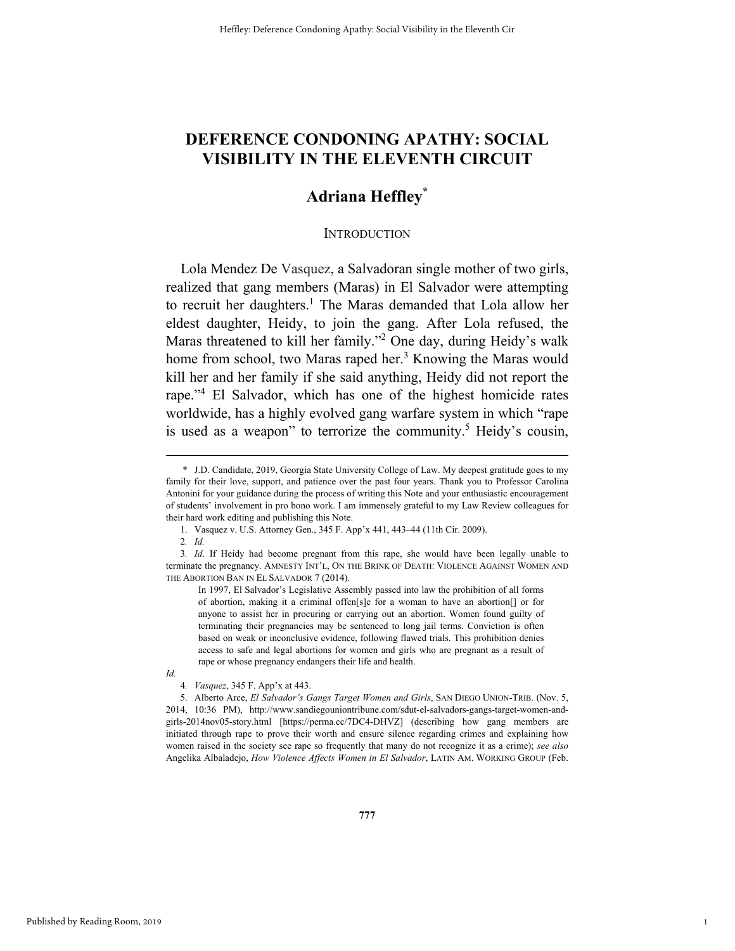# **DEFERENCE CONDONING APATHY: SOCIAL VISIBILITY IN THE ELEVENTH CIRCUIT**

# **Adriana Heffley\***

# **INTRODUCTION**

Lola Mendez De Vasquez, a Salvadoran single mother of two girls, realized that gang members (Maras) in El Salvador were attempting to recruit her daughters.<sup>1</sup> The Maras demanded that Lola allow her eldest daughter, Heidy, to join the gang. After Lola refused, the Maras threatened to kill her family."<sup>2</sup> One day, during Heidy's walk home from school, two Maras raped her.<sup>3</sup> Knowing the Maras would kill her and her family if she said anything, Heidy did not report the rape."4 El Salvador, which has one of the highest homicide rates worldwide, has a highly evolved gang warfare system in which "rape is used as a weapon" to terrorize the community.<sup>5</sup> Heidy's cousin,

In 1997, El Salvador's Legislative Assembly passed into law the prohibition of all forms of abortion, making it a criminal offen[s]e for a woman to have an abortion[] or for anyone to assist her in procuring or carrying out an abortion. Women found guilty of terminating their pregnancies may be sentenced to long jail terms. Conviction is often based on weak or inconclusive evidence, following flawed trials. This prohibition denies access to safe and legal abortions for women and girls who are pregnant as a result of rape or whose pregnancy endangers their life and health.

*Id.*

1

 <sup>\*</sup> J.D. Candidate, 2019, Georgia State University College of Law. My deepest gratitude goes to my family for their love, support, and patience over the past four years. Thank you to Professor Carolina Antonini for your guidance during the process of writing this Note and your enthusiastic encouragement of students' involvement in pro bono work. I am immensely grateful to my Law Review colleagues for their hard work editing and publishing this Note.

 <sup>1.</sup> Vasquez v. U.S. Attorney Gen., 345 F. App'x 441, 443–44 (11th Cir. 2009).

<sup>2</sup>*. Id.*

<sup>3</sup>*. Id*. If Heidy had become pregnant from this rape, she would have been legally unable to terminate the pregnancy. AMNESTY INT'L, ON THE BRINK OF DEATH: VIOLENCE AGAINST WOMEN AND THE ABORTION BAN IN EL SALVADOR 7 (2014).

<sup>4</sup>*. Vasquez*, 345 F. App'x at 443.

 <sup>5.</sup> Alberto Arce, *El Salvador's Gangs Target Women and Girls*, SAN DIEGO UNION-TRIB. (Nov. 5, 2014, 10:36 PM), http://www.sandiegouniontribune.com/sdut-el-salvadors-gangs-target-women-andgirls-2014nov05-story.html [https://perma.cc/7DC4-DHVZ] (describing how gang members are initiated through rape to prove their worth and ensure silence regarding crimes and explaining how women raised in the society see rape so frequently that many do not recognize it as a crime); *see also* Angelika Albaladejo, *How Violence Affects Women in El Salvador*, LATIN AM. WORKING GROUP (Feb.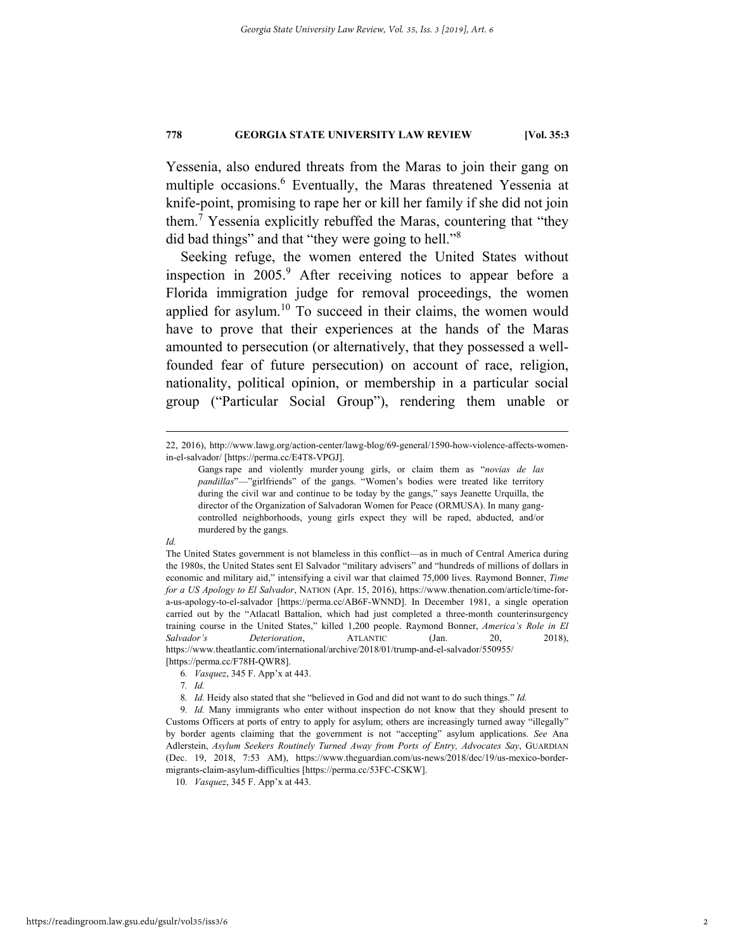Yessenia, also endured threats from the Maras to join their gang on multiple occasions.<sup>6</sup> Eventually, the Maras threatened Yessenia at knife-point, promising to rape her or kill her family if she did not join them.<sup>7</sup> Yessenia explicitly rebuffed the Maras, countering that "they did bad things" and that "they were going to hell."<sup>8</sup>

Seeking refuge, the women entered the United States without inspection in 2005.<sup>9</sup> After receiving notices to appear before a Florida immigration judge for removal proceedings, the women applied for asylum.<sup>10</sup> To succeed in their claims, the women would have to prove that their experiences at the hands of the Maras amounted to persecution (or alternatively, that they possessed a wellfounded fear of future persecution) on account of race, religion, nationality, political opinion, or membership in a particular social group ("Particular Social Group"), rendering them unable or

# *Id.*

10*. Vasquez*, 345 F. App'x at 443.

 <sup>22, 2016),</sup> http://www.lawg.org/action-center/lawg-blog/69-general/1590-how-violence-affects-womenin-el-salvador/ [https://perma.cc/E4T8-VPGJ].

Gangs rape and violently murder young girls, or claim them as "*novias de las pandillas*"—"girlfriends" of the gangs. "Women's bodies were treated like territory during the civil war and continue to be today by the gangs," says Jeanette Urquilla, the director of the Organization of Salvadoran Women for Peace (ORMUSA). In many gangcontrolled neighborhoods, young girls expect they will be raped, abducted, and/or murdered by the gangs.

The United States government is not blameless in this conflict—as in much of Central America during the 1980s, the United States sent El Salvador "military advisers" and "hundreds of millions of dollars in economic and military aid," intensifying a civil war that claimed 75,000 lives. Raymond Bonner, *Time for a US Apology to El Salvador*, NATION (Apr. 15, 2016), https://www.thenation.com/article/time-fora-us-apology-to-el-salvador [https://perma.cc/AB6F-WNND]. In December 1981, a single operation carried out by the "Atlacatl Battalion, which had just completed a three-month counterinsurgency training course in the United States," killed 1,200 people. Raymond Bonner, *America's Role in El Salvador's Deterioration*, ATLANTIC (Jan. 20, 2018), https://www.theatlantic.com/international/archive/2018/01/trump-and-el-salvador/550955/ [https://perma.cc/F78H-QWR8].

<sup>6</sup>*. Vasquez*, 345 F. App'x at 443.

<sup>7</sup>*. Id.*

<sup>8</sup>*. Id.* Heidy also stated that she "believed in God and did not want to do such things." *Id.*

<sup>9</sup>*. Id.* Many immigrants who enter without inspection do not know that they should present to Customs Officers at ports of entry to apply for asylum; others are increasingly turned away "illegally" by border agents claiming that the government is not "accepting" asylum applications. *See* Ana Adlerstein, *Asylum Seekers Routinely Turned Away from Ports of Entry, Advocates Say*, GUARDIAN (Dec. 19, 2018, 7:53 AM), https://www.theguardian.com/us-news/2018/dec/19/us-mexico-bordermigrants-claim-asylum-difficulties [https://perma.cc/53FC-CSKW].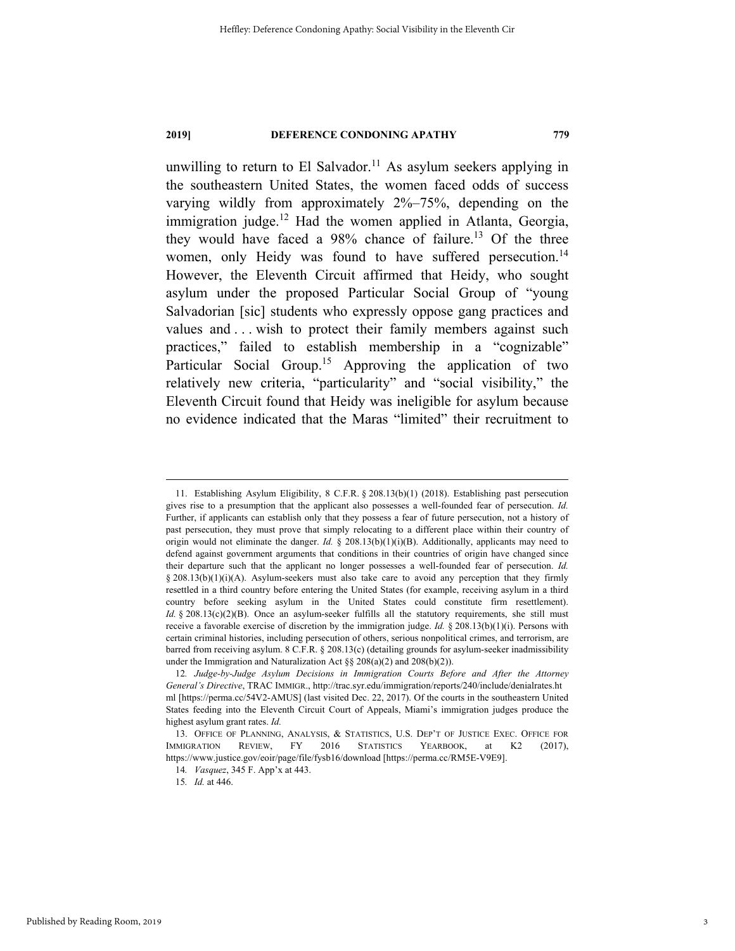unwilling to return to El Salvador.<sup>11</sup> As asylum seekers applying in the southeastern United States, the women faced odds of success varying wildly from approximately 2%–75%, depending on the immigration judge.<sup>12</sup> Had the women applied in Atlanta, Georgia, they would have faced a  $98\%$  chance of failure.<sup>13</sup> Of the three women, only Heidy was found to have suffered persecution.<sup>14</sup> However, the Eleventh Circuit affirmed that Heidy, who sought asylum under the proposed Particular Social Group of "young Salvadorian [sic] students who expressly oppose gang practices and values and . . . wish to protect their family members against such practices," failed to establish membership in a "cognizable" Particular Social Group.<sup>15</sup> Approving the application of two relatively new criteria, "particularity" and "social visibility," the Eleventh Circuit found that Heidy was ineligible for asylum because no evidence indicated that the Maras "limited" their recruitment to

 <sup>11.</sup> Establishing Asylum Eligibility, 8 C.F.R. § 208.13(b)(1) (2018). Establishing past persecution gives rise to a presumption that the applicant also possesses a well-founded fear of persecution. *Id.* Further, if applicants can establish only that they possess a fear of future persecution, not a history of past persecution, they must prove that simply relocating to a different place within their country of origin would not eliminate the danger. *Id.* § 208.13(b)(1)(i)(B). Additionally, applicants may need to defend against government arguments that conditions in their countries of origin have changed since their departure such that the applicant no longer possesses a well-founded fear of persecution. *Id.*  $§$  208.13(b)(1)(i)(A). Asylum-seekers must also take care to avoid any perception that they firmly resettled in a third country before entering the United States (for example, receiving asylum in a third country before seeking asylum in the United States could constitute firm resettlement). *Id.* § 208.13(c)(2)(B). Once an asylum-seeker fulfills all the statutory requirements, she still must receive a favorable exercise of discretion by the immigration judge. *Id.* § 208.13(b)(1)(i). Persons with certain criminal histories, including persecution of others, serious nonpolitical crimes, and terrorism, are barred from receiving asylum. 8 C.F.R. § 208.13(c) (detailing grounds for asylum-seeker inadmissibility under the Immigration and Naturalization Act §§ 208(a)(2) and 208(b)(2)).

<sup>12</sup>*. Judge-by-Judge Asylum Decisions in Immigration Courts Before and After the Attorney General's Directive*, TRAC IMMIGR., http://trac.syr.edu/immigration/reports/240/include/denialrates.ht ml [https://perma.cc/54V2-AMUS] (last visited Dec. 22, 2017). Of the courts in the southeastern United States feeding into the Eleventh Circuit Court of Appeals, Miami's immigration judges produce the highest asylum grant rates. *Id.*

 <sup>13.</sup> OFFICE OF PLANNING, ANALYSIS, & STATISTICS, U.S. DEP'T OF JUSTICE EXEC. OFFICE FOR IMMIGRATION REVIEW, FY 2016 STATISTICS YEARBOOK, at K2 (2017), https://www.justice.gov/eoir/page/file/fysb16/download [https://perma.cc/RM5E-V9E9].

<sup>14</sup>*. Vasquez*, 345 F. App'x at 443.

<sup>15</sup>*. Id.* at 446.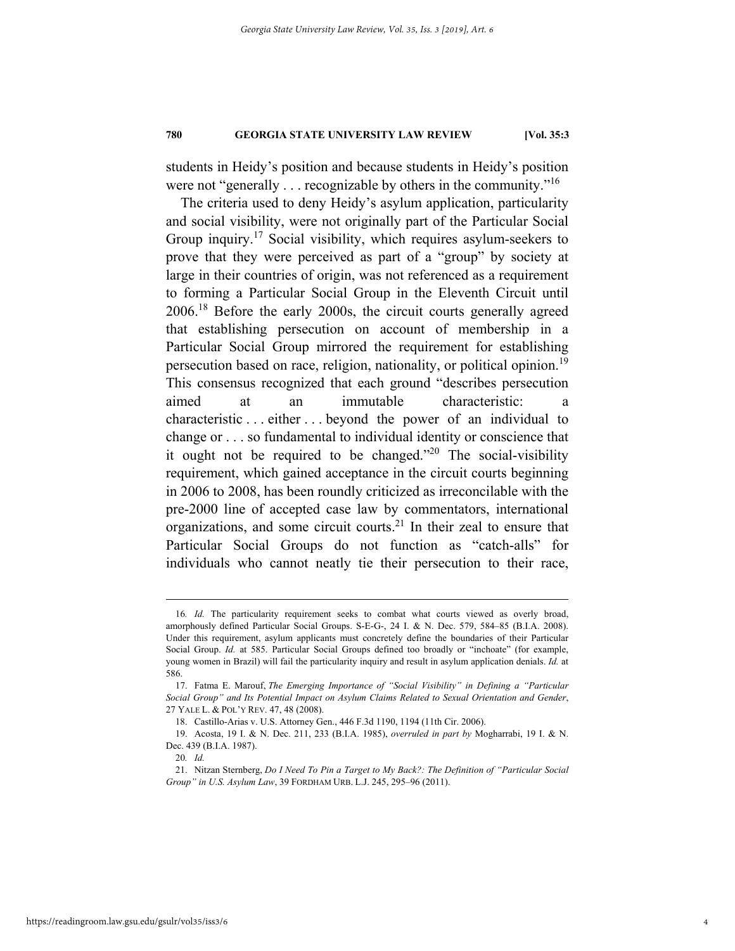students in Heidy's position and because students in Heidy's position were not "generally . . . recognizable by others in the community."<sup>16</sup>

The criteria used to deny Heidy's asylum application, particularity and social visibility, were not originally part of the Particular Social Group inquiry.<sup>17</sup> Social visibility, which requires asylum-seekers to prove that they were perceived as part of a "group" by society at large in their countries of origin, was not referenced as a requirement to forming a Particular Social Group in the Eleventh Circuit until 2006.18 Before the early 2000s, the circuit courts generally agreed that establishing persecution on account of membership in a Particular Social Group mirrored the requirement for establishing persecution based on race, religion, nationality, or political opinion.<sup>19</sup> This consensus recognized that each ground "describes persecution aimed at an immutable characteristic: a characteristic . . . either . . . beyond the power of an individual to change or . . . so fundamental to individual identity or conscience that it ought not be required to be changed."<sup>20</sup> The social-visibility requirement, which gained acceptance in the circuit courts beginning in 2006 to 2008, has been roundly criticized as irreconcilable with the pre-2000 line of accepted case law by commentators, international organizations, and some circuit courts.21 In their zeal to ensure that Particular Social Groups do not function as "catch-alls" for individuals who cannot neatly tie their persecution to their race,

 <sup>16</sup>*. Id.* The particularity requirement seeks to combat what courts viewed as overly broad, amorphously defined Particular Social Groups. S-E-G-, 24 I. & N. Dec. 579, 584–85 (B.I.A. 2008). Under this requirement, asylum applicants must concretely define the boundaries of their Particular Social Group. *Id.* at 585. Particular Social Groups defined too broadly or "inchoate" (for example, young women in Brazil) will fail the particularity inquiry and result in asylum application denials. *Id.* at 586.

 <sup>17.</sup> Fatma E. Marouf, *The Emerging Importance of "Social Visibility" in Defining a "Particular Social Group" and Its Potential Impact on Asylum Claims Related to Sexual Orientation and Gender*, 27 YALE L. & POL'Y REV. 47, 48 (2008).

 <sup>18.</sup> Castillo-Arias v. U.S. Attorney Gen., 446 F.3d 1190, 1194 (11th Cir. 2006).

 <sup>19.</sup> Acosta, 19 I. & N. Dec. 211, 233 (B.I.A. 1985), *overruled in part by* Mogharrabi, 19 I. & N. Dec. 439 (B.I.A. 1987).

<sup>20</sup>*. Id.*

 <sup>21.</sup> Nitzan Sternberg, *Do I Need To Pin a Target to My Back?: The Definition of "Particular Social Group" in U.S. Asylum Law*, 39 FORDHAM URB. L.J. 245, 295–96 (2011).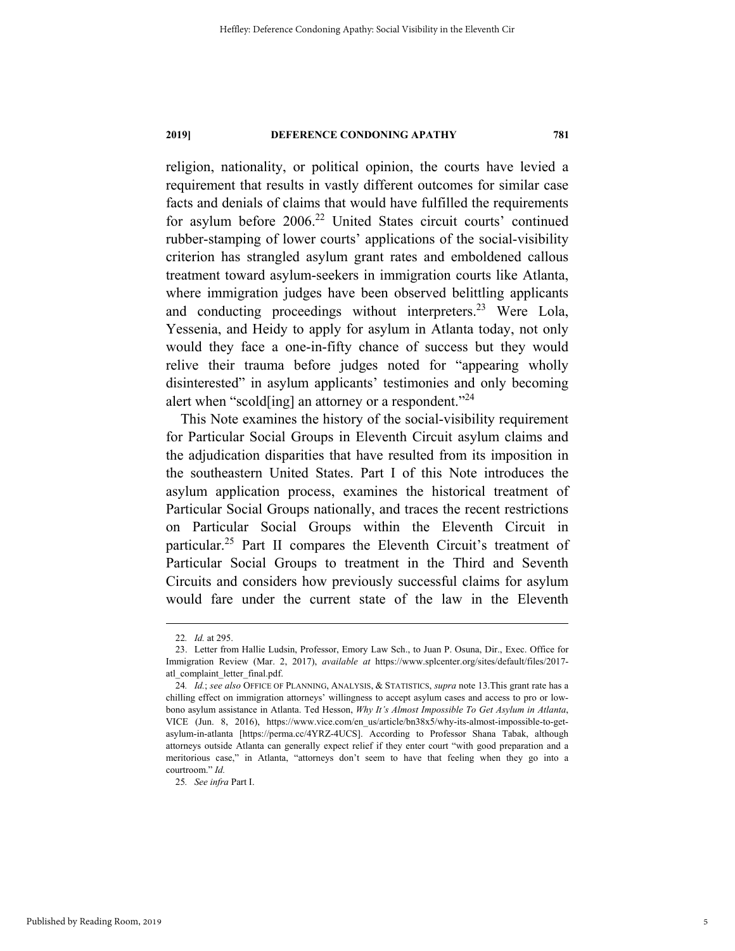religion, nationality, or political opinion, the courts have levied a requirement that results in vastly different outcomes for similar case facts and denials of claims that would have fulfilled the requirements for asylum before 2006.<sup>22</sup> United States circuit courts' continued rubber-stamping of lower courts' applications of the social-visibility criterion has strangled asylum grant rates and emboldened callous treatment toward asylum-seekers in immigration courts like Atlanta, where immigration judges have been observed belittling applicants and conducting proceedings without interpreters.<sup>23</sup> Were Lola, Yessenia, and Heidy to apply for asylum in Atlanta today, not only would they face a one-in-fifty chance of success but they would relive their trauma before judges noted for "appearing wholly disinterested" in asylum applicants' testimonies and only becoming alert when "scold[ing] an attorney or a respondent."<sup>24</sup>

This Note examines the history of the social-visibility requirement for Particular Social Groups in Eleventh Circuit asylum claims and the adjudication disparities that have resulted from its imposition in the southeastern United States. Part I of this Note introduces the asylum application process, examines the historical treatment of Particular Social Groups nationally, and traces the recent restrictions on Particular Social Groups within the Eleventh Circuit in particular.25 Part II compares the Eleventh Circuit's treatment of Particular Social Groups to treatment in the Third and Seventh Circuits and considers how previously successful claims for asylum would fare under the current state of the law in the Eleventh

25*. See infra* Part I.

 <sup>22</sup>*. Id.* at 295.

 <sup>23.</sup> Letter from Hallie Ludsin, Professor, Emory Law Sch., to Juan P. Osuna, Dir., Exec. Office for Immigration Review (Mar. 2, 2017), *available at* https://www.splcenter.org/sites/default/files/2017 atl\_complaint\_letter\_final.pdf.

<sup>24</sup>*. Id.*; *see also* OFFICE OF PLANNING, ANALYSIS, & STATISTICS, *supra* note 13.This grant rate has a chilling effect on immigration attorneys' willingness to accept asylum cases and access to pro or lowbono asylum assistance in Atlanta. Ted Hesson, *Why It's Almost Impossible To Get Asylum in Atlanta*, VICE (Jun. 8, 2016), https://www.vice.com/en\_us/article/bn38x5/why-its-almost-impossible-to-getasylum-in-atlanta [https://perma.cc/4YRZ-4UCS]. According to Professor Shana Tabak, although attorneys outside Atlanta can generally expect relief if they enter court "with good preparation and a meritorious case," in Atlanta, "attorneys don't seem to have that feeling when they go into a courtroom." *Id.*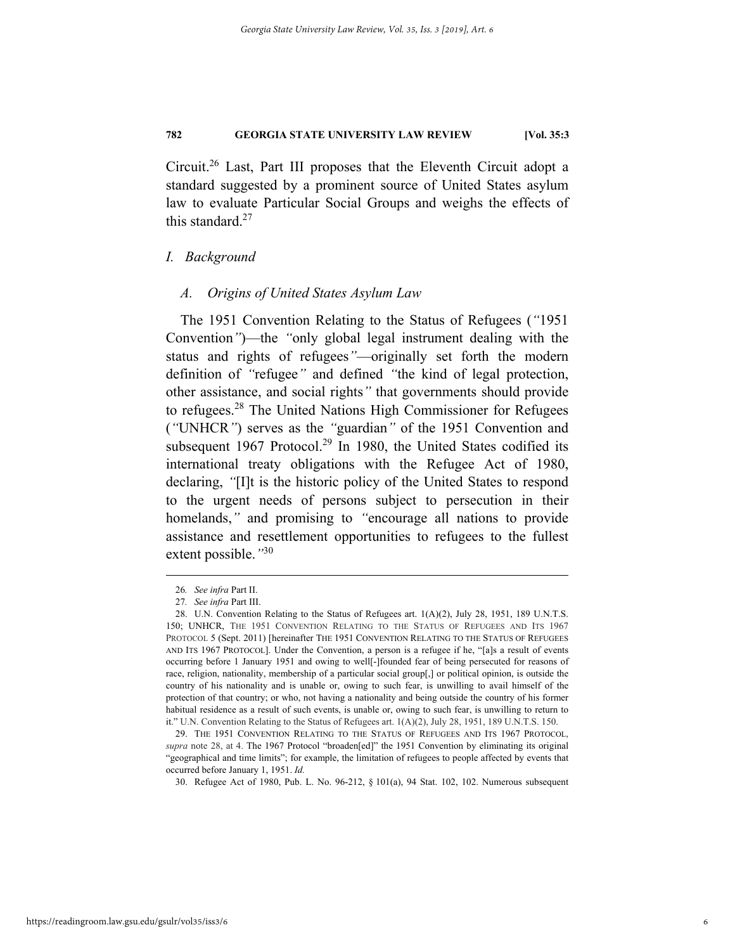Circuit.26 Last, Part III proposes that the Eleventh Circuit adopt a standard suggested by a prominent source of United States asylum law to evaluate Particular Social Groups and weighs the effects of this standard. $27$ 

# *I. Background*

# *A. Origins of United States Asylum Law*

The 1951 Convention Relating to the Status of Refugees (*"*1951 Convention*"*)—the *"*only global legal instrument dealing with the status and rights of refugees*"*—originally set forth the modern definition of *"*refugee*"* and defined *"*the kind of legal protection, other assistance, and social rights*"* that governments should provide to refugees.28 The United Nations High Commissioner for Refugees (*"*UNHCR*"*) serves as the *"*guardian*"* of the 1951 Convention and subsequent 1967 Protocol.<sup>29</sup> In 1980, the United States codified its international treaty obligations with the Refugee Act of 1980, declaring, *"*[I]t is the historic policy of the United States to respond to the urgent needs of persons subject to persecution in their homelands,*"* and promising to *"*encourage all nations to provide assistance and resettlement opportunities to refugees to the fullest extent possible.*"*<sup>30</sup>

30. Refugee Act of 1980, Pub. L. No. 96-212, § 101(a), 94 Stat. 102, 102. Numerous subsequent

 <sup>26</sup>*. See infra* Part II.

<sup>27</sup>*. See infra* Part III.

 <sup>28.</sup> U.N. Convention Relating to the Status of Refugees art. 1(A)(2), July 28, 1951, 189 U.N.T.S. 150; UNHCR, THE 1951 CONVENTION RELATING TO THE STATUS OF REFUGEES AND ITS 1967 PROTOCOL 5 (Sept. 2011) [hereinafter THE 1951 CONVENTION RELATING TO THE STATUS OF REFUGEES AND ITS 1967 PROTOCOL]. Under the Convention, a person is a refugee if he, "[a]s a result of events occurring before 1 January 1951 and owing to well[-]founded fear of being persecuted for reasons of race, religion, nationality, membership of a particular social group[,] or political opinion, is outside the country of his nationality and is unable or, owing to such fear, is unwilling to avail himself of the protection of that country; or who, not having a nationality and being outside the country of his former habitual residence as a result of such events, is unable or, owing to such fear, is unwilling to return to it." U.N. Convention Relating to the Status of Refugees art. 1(A)(2), July 28, 1951, 189 U.N.T.S. 150.

 <sup>29.</sup> THE 1951 CONVENTION RELATING TO THE STATUS OF REFUGEES AND ITS 1967 PROTOCOL, *supra* note 28, at 4. The 1967 Protocol "broaden[ed]" the 1951 Convention by eliminating its original "geographical and time limits"; for example, the limitation of refugees to people affected by events that occurred before January 1, 1951. *Id.*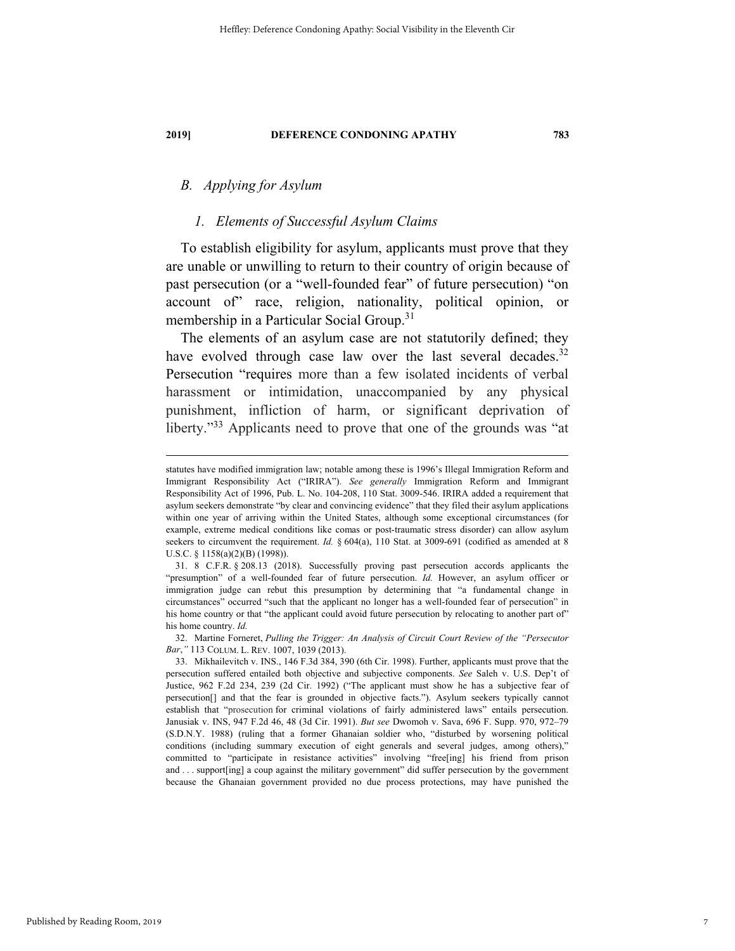# *B. Applying for Asylum*

# *1. Elements of Successful Asylum Claims*

To establish eligibility for asylum, applicants must prove that they are unable or unwilling to return to their country of origin because of past persecution (or a "well-founded fear" of future persecution) "on account of" race, religion, nationality, political opinion, or membership in a Particular Social Group.<sup>31</sup>

The elements of an asylum case are not statutorily defined; they have evolved through case law over the last several decades. $32$ Persecution "requires more than a few isolated incidents of verbal harassment or intimidation, unaccompanied by any physical punishment, infliction of harm, or significant deprivation of liberty."33 Applicants need to prove that one of the grounds was "at

 32. Martine Forneret, *Pulling the Trigger: An Analysis of Circuit Court Review of the "Persecutor Bar*,*"* 113 COLUM. L. REV. 1007, 1039 (2013).

statutes have modified immigration law; notable among these is 1996's Illegal Immigration Reform and Immigrant Responsibility Act ("IRIRA"). *See generally* Immigration Reform and Immigrant Responsibility Act of 1996, Pub. L. No. 104-208, 110 Stat. 3009-546. IRIRA added a requirement that asylum seekers demonstrate "by clear and convincing evidence" that they filed their asylum applications within one year of arriving within the United States, although some exceptional circumstances (for example, extreme medical conditions like comas or post-traumatic stress disorder) can allow asylum seekers to circumvent the requirement. *Id.* § 604(a), 110 Stat. at 3009-691 (codified as amended at 8 U.S.C. § 1158(a)(2)(B) (1998)).

 <sup>31. 8</sup> C.F.R. § 208.13 (2018). Successfully proving past persecution accords applicants the "presumption" of a well-founded fear of future persecution. *Id.* However, an asylum officer or immigration judge can rebut this presumption by determining that "a fundamental change in circumstances" occurred "such that the applicant no longer has a well-founded fear of persecution" in his home country or that "the applicant could avoid future persecution by relocating to another part of" his home country. *Id.*

 <sup>33.</sup> Mikhailevitch v. INS., 146 F.3d 384, 390 (6th Cir. 1998). Further, applicants must prove that the persecution suffered entailed both objective and subjective components. *See* Saleh v. U.S. Dep't of Justice, 962 F.2d 234, 239 (2d Cir. 1992) ("The applicant must show he has a subjective fear of persecution[] and that the fear is grounded in objective facts."). Asylum seekers typically cannot establish that "prosecution for criminal violations of fairly administered laws" entails persecution. Janusiak v. INS, 947 F.2d 46, 48 (3d Cir. 1991). *But see* Dwomoh v. Sava, 696 F. Supp. 970, 972–79 (S.D.N.Y. 1988) (ruling that a former Ghanaian soldier who, "disturbed by worsening political conditions (including summary execution of eight generals and several judges, among others)," committed to "participate in resistance activities" involving "free[ing] his friend from prison and . . . support[ing] a coup against the military government" did suffer persecution by the government because the Ghanaian government provided no due process protections, may have punished the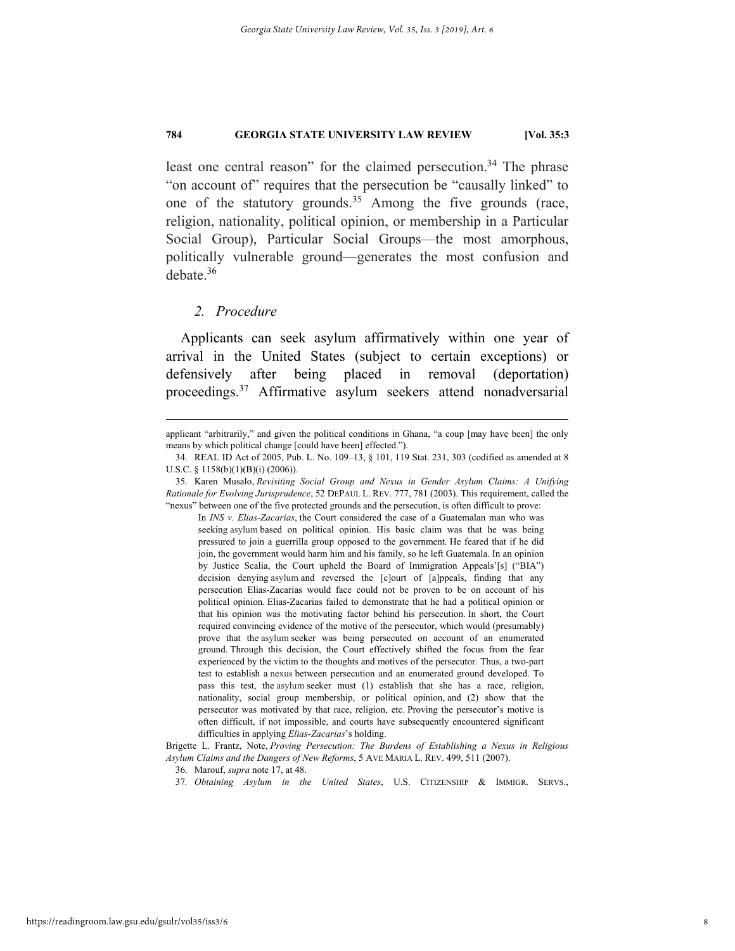least one central reason" for the claimed persecution.<sup>34</sup> The phrase "on account of" requires that the persecution be "causally linked" to one of the statutory grounds.<sup>35</sup> Among the five grounds (race, religion, nationality, political opinion, or membership in a Particular Social Group), Particular Social Groups—the most amorphous, politically vulnerable ground—generates the most confusion and debate.36

# *2. Procedure*

Applicants can seek asylum affirmatively within one year of arrival in the United States (subject to certain exceptions) or defensively after being placed in removal (deportation) proceedings.37 Affirmative asylum seekers attend nonadversarial

In *INS v. Elias-Zacarias*, the Court considered the case of a Guatemalan man who was seeking asylum based on political opinion. His basic claim was that he was being pressured to join a guerrilla group opposed to the government. He feared that if he did join, the government would harm him and his family, so he left Guatemala. In an opinion by Justice Scalia, the Court upheld the Board of Immigration Appeals'[s] ("BIA") decision denying asylum and reversed the [c]ourt of [a]ppeals, finding that any persecution Elias-Zacarias would face could not be proven to be on account of his political opinion. Elias-Zacarias failed to demonstrate that he had a political opinion or that his opinion was the motivating factor behind his persecution. In short, the Court required convincing evidence of the motive of the persecutor, which would (presumably) prove that the asylum seeker was being persecuted on account of an enumerated ground. Through this decision, the Court effectively shifted the focus from the fear experienced by the victim to the thoughts and motives of the persecutor. Thus, a two-part test to establish a nexus between persecution and an enumerated ground developed. To pass this test, the asylum seeker must (1) establish that she has a race, religion, nationality, social group membership, or political opinion, and (2) show that the persecutor was motivated by that race, religion, etc. Proving the persecutor's motive is often difficult, if not impossible, and courts have subsequently encountered significant difficulties in applying *Elias-Zacarias*'s holding.

37*. Obtaining Asylum in the United States*, U.S. CITIZENSHIP & IMMIGR. SERVS.,

applicant "arbitrarily," and given the political conditions in Ghana, "a coup [may have been] the only means by which political change [could have been] effected.").

 <sup>34.</sup> REAL ID Act of 2005, Pub. L. No. 109–13, § 101, 119 Stat. 231, 303 (codified as amended at 8 U.S.C. § 1158(b)(1)(B)(i) (2006)).

 <sup>35.</sup> Karen Musalo, *Revisiting Social Group and Nexus in Gender Asylum Claims: A Unifying Rationale for Evolving Jurisprudence*, 52 DEPAUL L. REV. 777, 781 (2003). This requirement, called the "nexus" between one of the five protected grounds and the persecution, is often difficult to prove:

Brigette L. Frantz, Note, *Proving Persecution: The Burdens of Establishing a Nexus in Religious Asylum Claims and the Dangers of New Reforms*, 5 AVE MARIA L. REV. 499, 511 (2007).

 <sup>36.</sup> Marouf, *supra* note 17, at 48.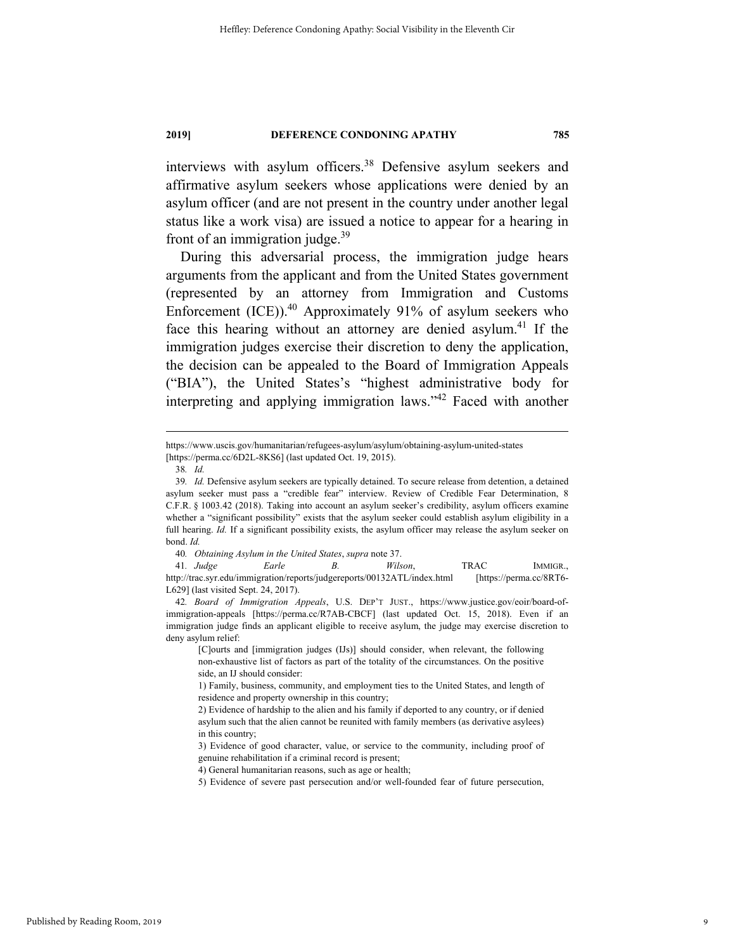interviews with asylum officers.<sup>38</sup> Defensive asylum seekers and affirmative asylum seekers whose applications were denied by an asylum officer (and are not present in the country under another legal status like a work visa) are issued a notice to appear for a hearing in front of an immigration judge. $39$ 

During this adversarial process, the immigration judge hears arguments from the applicant and from the United States government (represented by an attorney from Immigration and Customs Enforcement  $(ICE)$ ).<sup>40</sup> Approximately 91% of asylum seekers who face this hearing without an attorney are denied asylum.<sup>41</sup> If the immigration judges exercise their discretion to deny the application, the decision can be appealed to the Board of Immigration Appeals ("BIA"), the United States's "highest administrative body for interpreting and applying immigration laws."<sup>42</sup> Faced with another

40*. Obtaining Asylum in the United States*, *supra* note 37.

41*. Judge Earle B. Wilson*, TRAC IMMIGR., http://trac.syr.edu/immigration/reports/judgereports/00132ATL/index.html [https://perma.cc/8RT6- L629] (last visited Sept. 24, 2017).

42*. Board of Immigration Appeals*, U.S. DEP'T JUST., https://www.justice.gov/eoir/board-ofimmigration-appeals [https://perma.cc/R7AB-CBCF] (last updated Oct. 15, 2018). Even if an immigration judge finds an applicant eligible to receive asylum, the judge may exercise discretion to deny asylum relief:

[C]ourts and [immigration judges (IJs)] should consider, when relevant, the following non-exhaustive list of factors as part of the totality of the circumstances. On the positive side, an IJ should consider:

https://www.uscis.gov/humanitarian/refugees-asylum/asylum/obtaining-asylum-united-states [https://perma.cc/6D2L-8KS6] (last updated Oct. 19, 2015).

<sup>38</sup>*. Id.*

<sup>39</sup>*. Id.* Defensive asylum seekers are typically detained. To secure release from detention, a detained asylum seeker must pass a "credible fear" interview. Review of Credible Fear Determination, 8 C.F.R. § 1003.42 (2018). Taking into account an asylum seeker's credibility, asylum officers examine whether a "significant possibility" exists that the asylum seeker could establish asylum eligibility in a full hearing. *Id.* If a significant possibility exists, the asylum officer may release the asylum seeker on bond. *Id.*

<sup>1)</sup> Family, business, community, and employment ties to the United States, and length of residence and property ownership in this country;

<sup>2)</sup> Evidence of hardship to the alien and his family if deported to any country, or if denied asylum such that the alien cannot be reunited with family members (as derivative asylees) in this country;

<sup>3)</sup> Evidence of good character, value, or service to the community, including proof of genuine rehabilitation if a criminal record is present;

<sup>4)</sup> General humanitarian reasons, such as age or health;

<sup>5)</sup> Evidence of severe past persecution and/or well-founded fear of future persecution,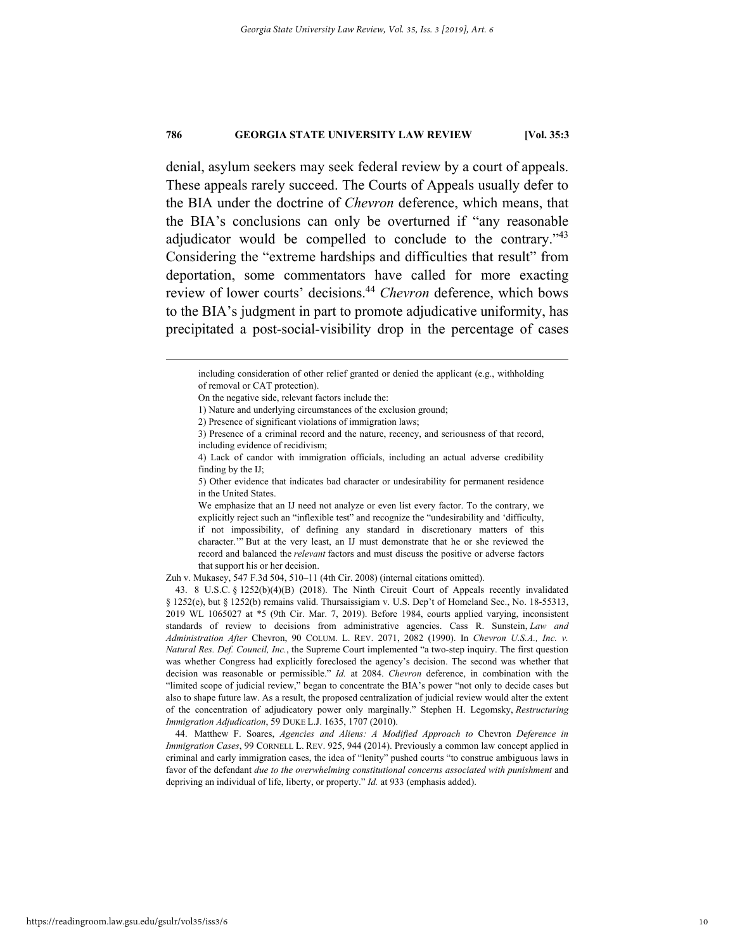denial, asylum seekers may seek federal review by a court of appeals. These appeals rarely succeed. The Courts of Appeals usually defer to the BIA under the doctrine of *Chevron* deference, which means, that the BIA's conclusions can only be overturned if "any reasonable adjudicator would be compelled to conclude to the contrary."<sup>43</sup> Considering the "extreme hardships and difficulties that result" from deportation, some commentators have called for more exacting review of lower courts' decisions.44 *Chevron* deference, which bows to the BIA's judgment in part to promote adjudicative uniformity, has precipitated a post-social-visibility drop in the percentage of cases

Zuh v. Mukasey, 547 F.3d 504, 510–11 (4th Cir. 2008) (internal citations omitted).

including consideration of other relief granted or denied the applicant (e.g., withholding of removal or CAT protection).

On the negative side, relevant factors include the:

<sup>1)</sup> Nature and underlying circumstances of the exclusion ground;

<sup>2)</sup> Presence of significant violations of immigration laws;

<sup>3)</sup> Presence of a criminal record and the nature, recency, and seriousness of that record, including evidence of recidivism;

<sup>4)</sup> Lack of candor with immigration officials, including an actual adverse credibility finding by the IJ;

<sup>5)</sup> Other evidence that indicates bad character or undesirability for permanent residence in the United States.

We emphasize that an IJ need not analyze or even list every factor. To the contrary, we explicitly reject such an "inflexible test" and recognize the "undesirability and 'difficulty, if not impossibility, of defining any standard in discretionary matters of this character.'" But at the very least, an IJ must demonstrate that he or she reviewed the record and balanced the *relevant* factors and must discuss the positive or adverse factors that support his or her decision.

 <sup>43. 8</sup> U.S.C. § 1252(b)(4)(B) (2018). The Ninth Circuit Court of Appeals recently invalidated § 1252(e), but § 1252(b) remains valid. Thursaissigiam v. U.S. Dep't of Homeland Sec., No. 18-55313, 2019 WL 1065027 at \*5 (9th Cir. Mar. 7, 2019). Before 1984, courts applied varying, inconsistent standards of review to decisions from administrative agencies. Cass R. Sunstein, *Law and Administration After* Chevron, 90 COLUM. L. REV. 2071, 2082 (1990). In *Chevron U.S.A., Inc. v. Natural Res. Def. Council, Inc.*, the Supreme Court implemented "a two-step inquiry. The first question was whether Congress had explicitly foreclosed the agency's decision. The second was whether that decision was reasonable or permissible." *Id.* at 2084. *Chevron* deference, in combination with the "limited scope of judicial review," began to concentrate the BIA's power "not only to decide cases but also to shape future law. As a result, the proposed centralization of judicial review would alter the extent of the concentration of adjudicatory power only marginally." Stephen H. Legomsky, *Restructuring Immigration Adjudication*, 59 DUKE L.J. 1635, 1707 (2010).

 <sup>44.</sup> Matthew F. Soares, *Agencies and Aliens: A Modified Approach to* Chevron *Deference in Immigration Cases*, 99 CORNELL L. REV. 925, 944 (2014). Previously a common law concept applied in criminal and early immigration cases, the idea of "lenity" pushed courts "to construe ambiguous laws in favor of the defendant *due to the overwhelming constitutional concerns associated with punishment* and depriving an individual of life, liberty, or property." *Id.* at 933 (emphasis added).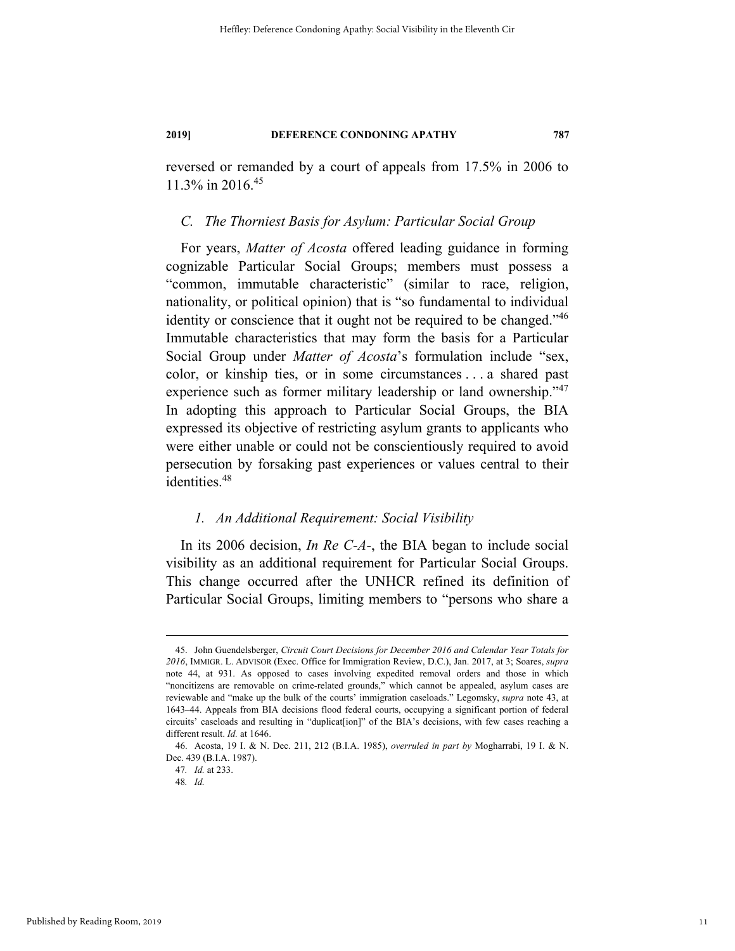reversed or remanded by a court of appeals from 17.5% in 2006 to 11.3% in 2016.<sup>45</sup>

#### *C. The Thorniest Basis for Asylum: Particular Social Group*

For years, *Matter of Acosta* offered leading guidance in forming cognizable Particular Social Groups; members must possess a "common, immutable characteristic" (similar to race, religion, nationality, or political opinion) that is "so fundamental to individual identity or conscience that it ought not be required to be changed."<sup>46</sup> Immutable characteristics that may form the basis for a Particular Social Group under *Matter of Acosta*'s formulation include "sex, color, or kinship ties, or in some circumstances . . . a shared past experience such as former military leadership or land ownership."<sup>47</sup> In adopting this approach to Particular Social Groups, the BIA expressed its objective of restricting asylum grants to applicants who were either unable or could not be conscientiously required to avoid persecution by forsaking past experiences or values central to their identities.<sup>48</sup>

# *1. An Additional Requirement: Social Visibility*

In its 2006 decision, *In Re C-A-*, the BIA began to include social visibility as an additional requirement for Particular Social Groups. This change occurred after the UNHCR refined its definition of Particular Social Groups, limiting members to "persons who share a

 <sup>45.</sup> John Guendelsberger, *Circuit Court Decisions for December 2016 and Calendar Year Totals for 2016*, IMMIGR. L. ADVISOR (Exec. Office for Immigration Review, D.C.), Jan. 2017, at 3; Soares, *supra*  note 44, at 931. As opposed to cases involving expedited removal orders and those in which "noncitizens are removable on crime-related grounds," which cannot be appealed, asylum cases are reviewable and "make up the bulk of the courts' immigration caseloads." Legomsky, *supra* note 43, at 1643–44. Appeals from BIA decisions flood federal courts, occupying a significant portion of federal circuits' caseloads and resulting in "duplicat[ion]" of the BIA's decisions, with few cases reaching a different result. *Id.* at 1646.

 <sup>46.</sup> Acosta, 19 I. & N. Dec. 211, 212 (B.I.A. 1985), *overruled in part by* Mogharrabi, 19 I. & N. Dec. 439 (B.I.A. 1987).

<sup>47</sup>*. Id.* at 233.

<sup>48</sup>*. Id.*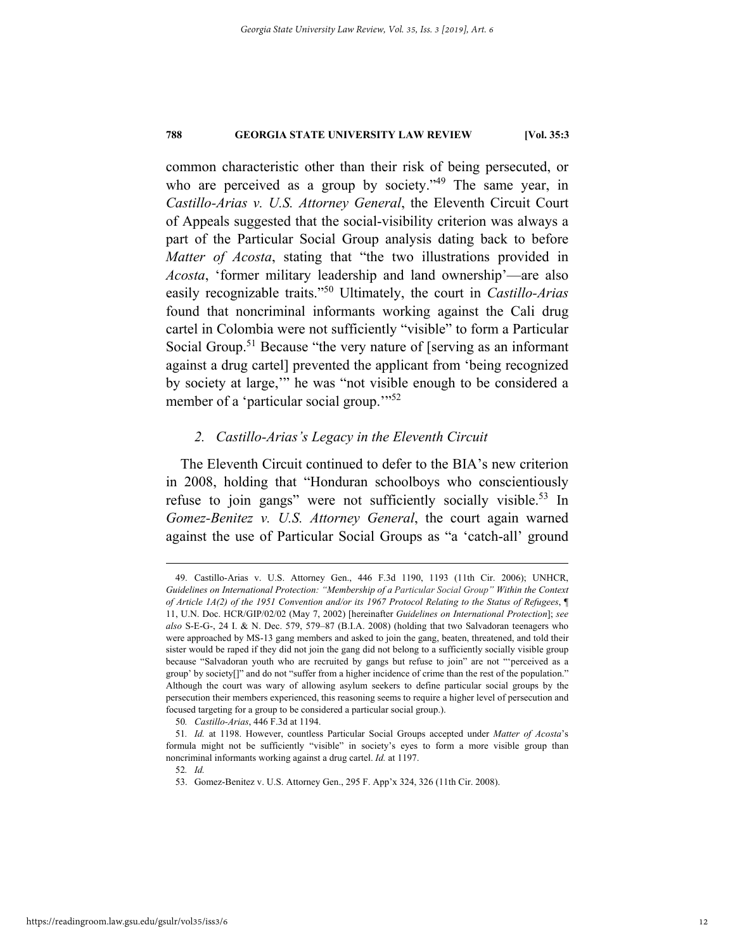common characteristic other than their risk of being persecuted, or who are perceived as a group by society."<sup>49</sup> The same year, in *Castillo-Arias v. U.S. Attorney General*, the Eleventh Circuit Court of Appeals suggested that the social-visibility criterion was always a part of the Particular Social Group analysis dating back to before *Matter of Acosta*, stating that "the two illustrations provided in *Acosta*, 'former military leadership and land ownership'—are also easily recognizable traits."50 Ultimately, the court in *Castillo-Arias*  found that noncriminal informants working against the Cali drug cartel in Colombia were not sufficiently "visible" to form a Particular Social Group.<sup>51</sup> Because "the very nature of [serving as an informant against a drug cartel] prevented the applicant from 'being recognized by society at large,'" he was "not visible enough to be considered a member of a 'particular social group."<sup>52</sup>

# *2. Castillo-Arias's Legacy in the Eleventh Circuit*

The Eleventh Circuit continued to defer to the BIA's new criterion in 2008, holding that "Honduran schoolboys who conscientiously refuse to join gangs" were not sufficiently socially visible.<sup>53</sup> In *Gomez-Benitez v. U.S. Attorney General*, the court again warned against the use of Particular Social Groups as "a 'catch-all' ground

 <sup>49.</sup> Castillo-Arias v. U.S. Attorney Gen., 446 F.3d 1190, 1193 (11th Cir. 2006); UNHCR, *Guidelines on International Protection: "Membership of a Particular Social Group" Within the Context of Article 1A(2) of the 1951 Convention and/or its 1967 Protocol Relating to the Status of Refugees*, ¶ 11, U.N. Doc. HCR/GIP/02/02 (May 7, 2002) [hereinafter *Guidelines on International Protection*]; *see also* S-E-G-, 24 I. & N. Dec. 579, 579–87 (B.I.A. 2008) (holding that two Salvadoran teenagers who were approached by MS-13 gang members and asked to join the gang, beaten, threatened, and told their sister would be raped if they did not join the gang did not belong to a sufficiently socially visible group because "Salvadoran youth who are recruited by gangs but refuse to join" are not "'perceived as a group' by society[]" and do not "suffer from a higher incidence of crime than the rest of the population." Although the court was wary of allowing asylum seekers to define particular social groups by the persecution their members experienced, this reasoning seems to require a higher level of persecution and focused targeting for a group to be considered a particular social group.).

<sup>50</sup>*. Castillo-Arias*, 446 F.3d at 1194.

<sup>51</sup>*. Id.* at 1198. However, countless Particular Social Groups accepted under *Matter of Acosta*'s formula might not be sufficiently "visible" in society's eyes to form a more visible group than noncriminal informants working against a drug cartel. *Id.* at 1197.

<sup>52</sup>*. Id.*

 <sup>53.</sup> Gomez-Benitez v. U.S. Attorney Gen., 295 F. App'x 324, 326 (11th Cir. 2008).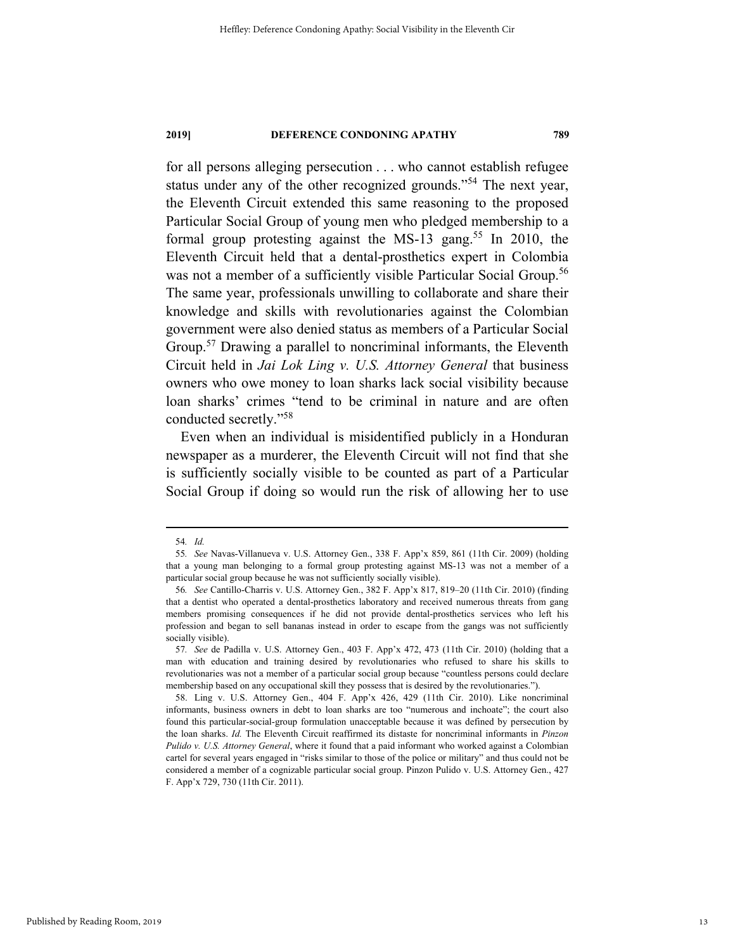for all persons alleging persecution . . . who cannot establish refugee status under any of the other recognized grounds."54 The next year, the Eleventh Circuit extended this same reasoning to the proposed Particular Social Group of young men who pledged membership to a formal group protesting against the MS-13 gang.<sup>55</sup> In 2010, the Eleventh Circuit held that a dental-prosthetics expert in Colombia was not a member of a sufficiently visible Particular Social Group.<sup>56</sup> The same year, professionals unwilling to collaborate and share their knowledge and skills with revolutionaries against the Colombian government were also denied status as members of a Particular Social Group.<sup>57</sup> Drawing a parallel to noncriminal informants, the Eleventh Circuit held in *Jai Lok Ling v. U.S. Attorney General* that business owners who owe money to loan sharks lack social visibility because loan sharks' crimes "tend to be criminal in nature and are often conducted secretly."58

Even when an individual is misidentified publicly in a Honduran newspaper as a murderer, the Eleventh Circuit will not find that she is sufficiently socially visible to be counted as part of a Particular Social Group if doing so would run the risk of allowing her to use

 <sup>54</sup>*. Id.*

<sup>55</sup>*. See* Navas-Villanueva v. U.S. Attorney Gen., 338 F. App'x 859, 861 (11th Cir. 2009) (holding that a young man belonging to a formal group protesting against MS-13 was not a member of a particular social group because he was not sufficiently socially visible).

<sup>56</sup>*. See* Cantillo-Charris v. U.S. Attorney Gen., 382 F. App'x 817, 819–20 (11th Cir. 2010) (finding that a dentist who operated a dental-prosthetics laboratory and received numerous threats from gang members promising consequences if he did not provide dental-prosthetics services who left his profession and began to sell bananas instead in order to escape from the gangs was not sufficiently socially visible).

<sup>57</sup>*. See* de Padilla v. U.S. Attorney Gen., 403 F. App'x 472, 473 (11th Cir. 2010) (holding that a man with education and training desired by revolutionaries who refused to share his skills to revolutionaries was not a member of a particular social group because "countless persons could declare membership based on any occupational skill they possess that is desired by the revolutionaries.").

 <sup>58.</sup> Ling v. U.S. Attorney Gen., 404 F. App'x 426, 429 (11th Cir. 2010). Like noncriminal informants, business owners in debt to loan sharks are too "numerous and inchoate"; the court also found this particular-social-group formulation unacceptable because it was defined by persecution by the loan sharks. *Id.* The Eleventh Circuit reaffirmed its distaste for noncriminal informants in *Pinzon Pulido v. U.S. Attorney General*, where it found that a paid informant who worked against a Colombian cartel for several years engaged in "risks similar to those of the police or military" and thus could not be considered a member of a cognizable particular social group. Pinzon Pulido v. U.S. Attorney Gen., 427 F. App'x 729, 730 (11th Cir. 2011).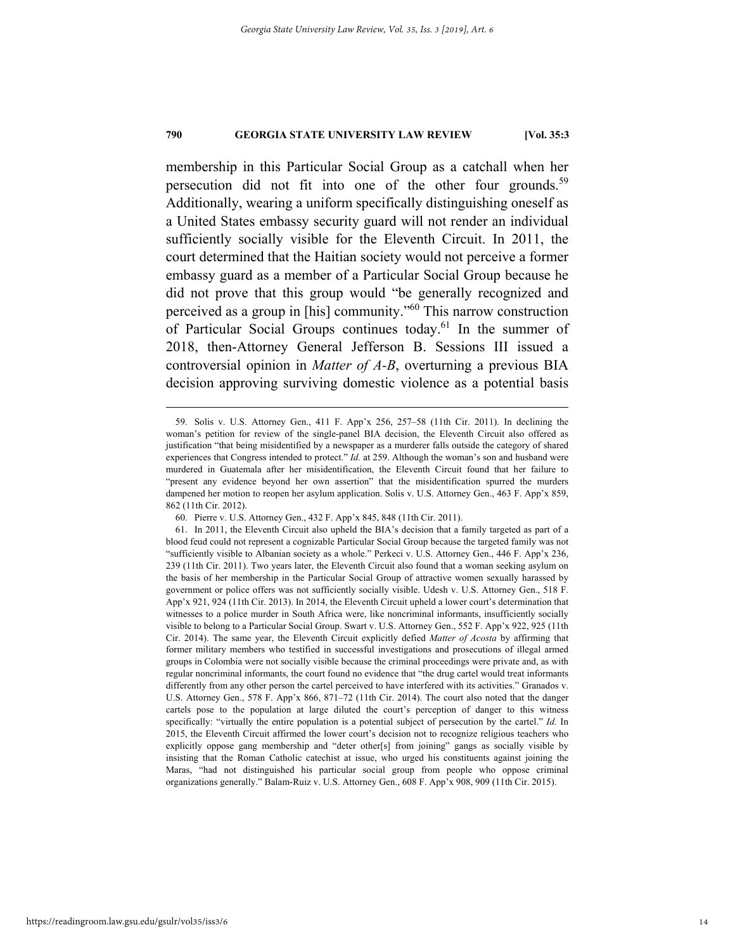membership in this Particular Social Group as a catchall when her persecution did not fit into one of the other four grounds.<sup>59</sup> Additionally, wearing a uniform specifically distinguishing oneself as a United States embassy security guard will not render an individual sufficiently socially visible for the Eleventh Circuit. In 2011, the court determined that the Haitian society would not perceive a former embassy guard as a member of a Particular Social Group because he did not prove that this group would "be generally recognized and perceived as a group in [his] community."60 This narrow construction of Particular Social Groups continues today.61 In the summer of 2018, then-Attorney General Jefferson B. Sessions III issued a controversial opinion in *Matter of A-B*, overturning a previous BIA decision approving surviving domestic violence as a potential basis

 <sup>59.</sup> Solis v. U.S. Attorney Gen., 411 F. App'x 256, 257–58 (11th Cir. 2011). In declining the woman's petition for review of the single-panel BIA decision, the Eleventh Circuit also offered as justification "that being misidentified by a newspaper as a murderer falls outside the category of shared experiences that Congress intended to protect." *Id.* at 259. Although the woman's son and husband were murdered in Guatemala after her misidentification, the Eleventh Circuit found that her failure to "present any evidence beyond her own assertion" that the misidentification spurred the murders dampened her motion to reopen her asylum application. Solis v. U.S. Attorney Gen., 463 F. App'x 859, 862 (11th Cir. 2012).

 <sup>60.</sup> Pierre v. U.S. Attorney Gen., 432 F. App'x 845, 848 (11th Cir. 2011).

 <sup>61.</sup> In 2011, the Eleventh Circuit also upheld the BIA's decision that a family targeted as part of a blood feud could not represent a cognizable Particular Social Group because the targeted family was not "sufficiently visible to Albanian society as a whole." Perkeci v. U.S. Attorney Gen., 446 F. App'x 236, 239 (11th Cir. 2011). Two years later, the Eleventh Circuit also found that a woman seeking asylum on the basis of her membership in the Particular Social Group of attractive women sexually harassed by government or police offers was not sufficiently socially visible. Udesh v. U.S. Attorney Gen., 518 F. App'x 921, 924 (11th Cir. 2013). In 2014, the Eleventh Circuit upheld a lower court's determination that witnesses to a police murder in South Africa were, like noncriminal informants, insufficiently socially visible to belong to a Particular Social Group. Swart v. U.S. Attorney Gen., 552 F. App'x 922, 925 (11th Cir. 2014). The same year, the Eleventh Circuit explicitly defied *Matter of Acosta* by affirming that former military members who testified in successful investigations and prosecutions of illegal armed groups in Colombia were not socially visible because the criminal proceedings were private and, as with regular noncriminal informants, the court found no evidence that "the drug cartel would treat informants differently from any other person the cartel perceived to have interfered with its activities." Granados v. U.S. Attorney Gen., 578 F. App'x 866, 871–72 (11th Cir. 2014). The court also noted that the danger cartels pose to the population at large diluted the court's perception of danger to this witness specifically: "virtually the entire population is a potential subject of persecution by the cartel." *Id.* In 2015, the Eleventh Circuit affirmed the lower court's decision not to recognize religious teachers who explicitly oppose gang membership and "deter other[s] from joining" gangs as socially visible by insisting that the Roman Catholic catechist at issue, who urged his constituents against joining the Maras, "had not distinguished his particular social group from people who oppose criminal organizations generally." Balam-Ruiz v. U.S. Attorney Gen., 608 F. App'x 908, 909 (11th Cir. 2015).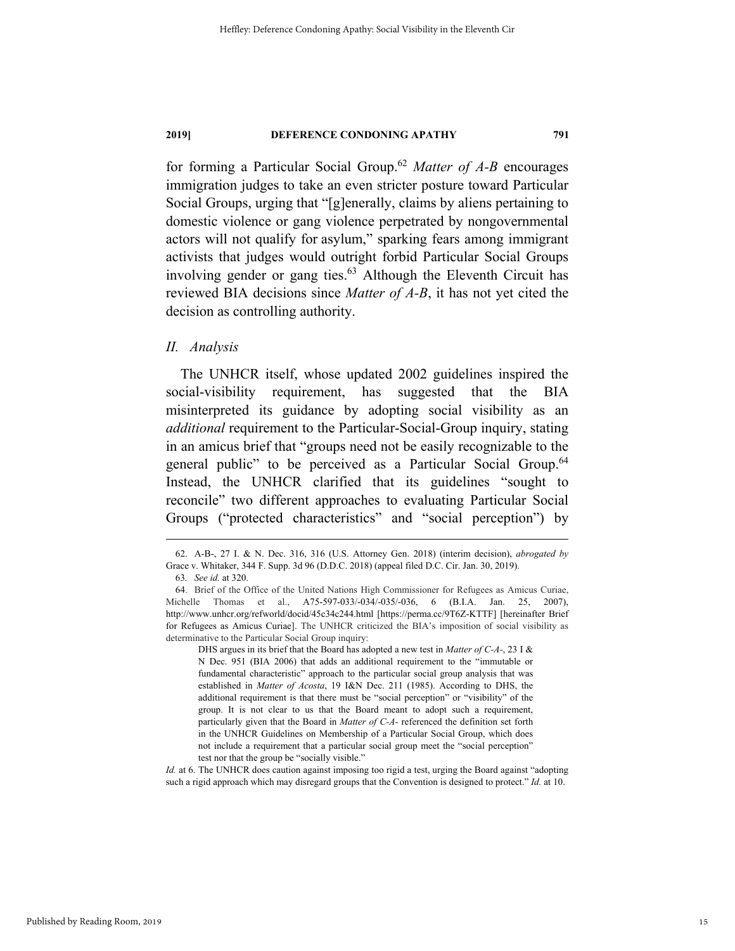for forming a Particular Social Group.62 *Matter of A-B* encourages immigration judges to take an even stricter posture toward Particular Social Groups, urging that "[g]enerally, claims by aliens pertaining to domestic violence or gang violence perpetrated by nongovernmental actors will not qualify for asylum," sparking fears among immigrant activists that judges would outright forbid Particular Social Groups involving gender or gang ties. $63$  Although the Eleventh Circuit has reviewed BIA decisions since *Matter of A-B*, it has not yet cited the decision as controlling authority.

## *II. Analysis*

The UNHCR itself, whose updated 2002 guidelines inspired the social-visibility requirement, has suggested that the BIA misinterpreted its guidance by adopting social visibility as an *additional* requirement to the Particular-Social-Group inquiry, stating in an amicus brief that "groups need not be easily recognizable to the general public" to be perceived as a Particular Social Group.<sup>64</sup> Instead, the UNHCR clarified that its guidelines "sought to reconcile" two different approaches to evaluating Particular Social Groups ("protected characteristics" and "social perception") by

DHS argues in its brief that the Board has adopted a new test in *Matter of C-A-*, 23 I & N Dec. 951 (BIA 2006) that adds an additional requirement to the "immutable or fundamental characteristic" approach to the particular social group analysis that was established in *Matter of Acosta*, 19 I&N Dec. 211 (1985). According to DHS, the additional requirement is that there must be "social perception" or "visibility" of the group. It is not clear to us that the Board meant to adopt such a requirement, particularly given that the Board in *Matter of C-A-* referenced the definition set forth in the UNHCR Guidelines on Membership of a Particular Social Group, which does not include a requirement that a particular social group meet the "social perception" test nor that the group be "socially visible."

*Id.* at 6. The UNHCR does caution against imposing too rigid a test, urging the Board against "adopting such a rigid approach which may disregard groups that the Convention is designed to protect." *Id.* at 10.

 <sup>62.</sup> A-B-, 27 I. & N. Dec. 316, 316 (U.S. Attorney Gen. 2018) (interim decision), *abrogated by* Grace v. Whitaker, 344 F. Supp. 3d 96 (D.D.C. 2018) (appeal filed D.C. Cir. Jan. 30, 2019).

<sup>63</sup>*. See id.* at 320.

<sup>64.</sup> Brief of the Office of the United Nations High Commissioner for Refugees as Amicus Curiae, Michelle Thomas et al., A75-597-033/-034/-035/-036, 6 (B.I.A. Jan. 25, 2007), http://www.unhcr.org/refworld/docid/45c34c244.html [https://perma.cc/9T6Z-KTTF] [hereinafter Brief for Refugees as Amicus Curiae]. The UNHCR criticized the BIA's imposition of social visibility as determinative to the Particular Social Group inquiry: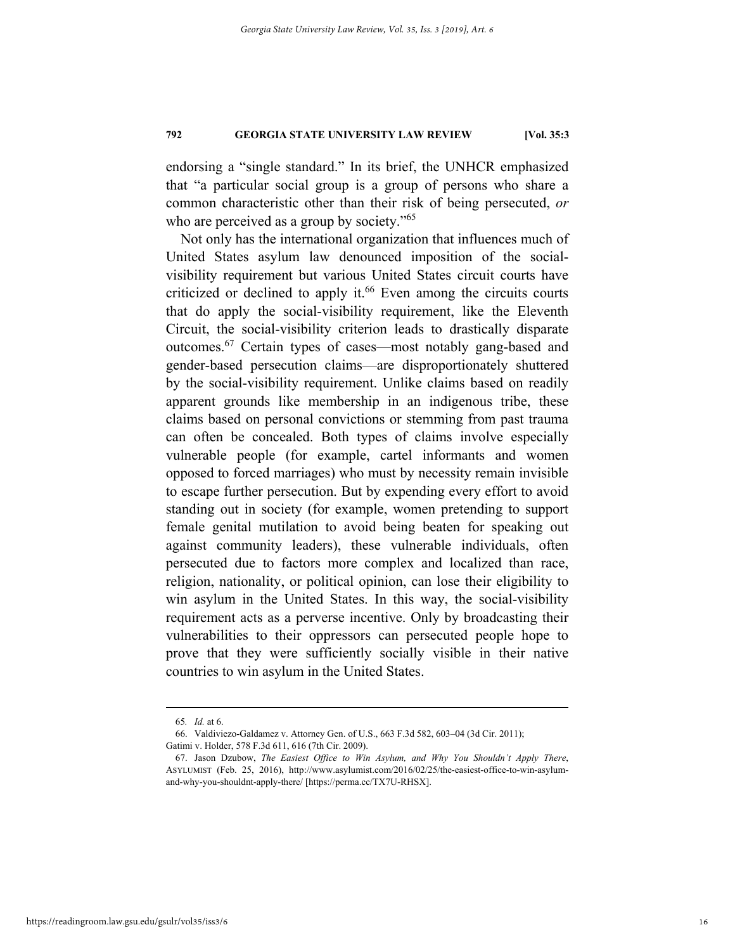endorsing a "single standard." In its brief, the UNHCR emphasized that "a particular social group is a group of persons who share a common characteristic other than their risk of being persecuted, *or* who are perceived as a group by society."<sup>65</sup>

Not only has the international organization that influences much of United States asylum law denounced imposition of the socialvisibility requirement but various United States circuit courts have criticized or declined to apply it.<sup>66</sup> Even among the circuits courts that do apply the social-visibility requirement, like the Eleventh Circuit, the social-visibility criterion leads to drastically disparate outcomes.67 Certain types of cases—most notably gang-based and gender-based persecution claims—are disproportionately shuttered by the social-visibility requirement. Unlike claims based on readily apparent grounds like membership in an indigenous tribe, these claims based on personal convictions or stemming from past trauma can often be concealed. Both types of claims involve especially vulnerable people (for example, cartel informants and women opposed to forced marriages) who must by necessity remain invisible to escape further persecution. But by expending every effort to avoid standing out in society (for example, women pretending to support female genital mutilation to avoid being beaten for speaking out against community leaders), these vulnerable individuals, often persecuted due to factors more complex and localized than race, religion, nationality, or political opinion, can lose their eligibility to win asylum in the United States. In this way, the social-visibility requirement acts as a perverse incentive. Only by broadcasting their vulnerabilities to their oppressors can persecuted people hope to prove that they were sufficiently socially visible in their native countries to win asylum in the United States.

 <sup>65</sup>*. Id.* at 6.

 <sup>66.</sup> Valdiviezo-Galdamez v. Attorney Gen. of U.S., 663 F.3d 582, 603–04 (3d Cir. 2011); Gatimi v. Holder, 578 F.3d 611, 616 (7th Cir. 2009).

 <sup>67.</sup> Jason Dzubow, *The Easiest Office to Win Asylum, and Why You Shouldn't Apply There*, ASYLUMIST (Feb. 25, 2016), http://www.asylumist.com/2016/02/25/the-easiest-office-to-win-asylumand-why-you-shouldnt-apply-there/ [https://perma.cc/TX7U-RHSX].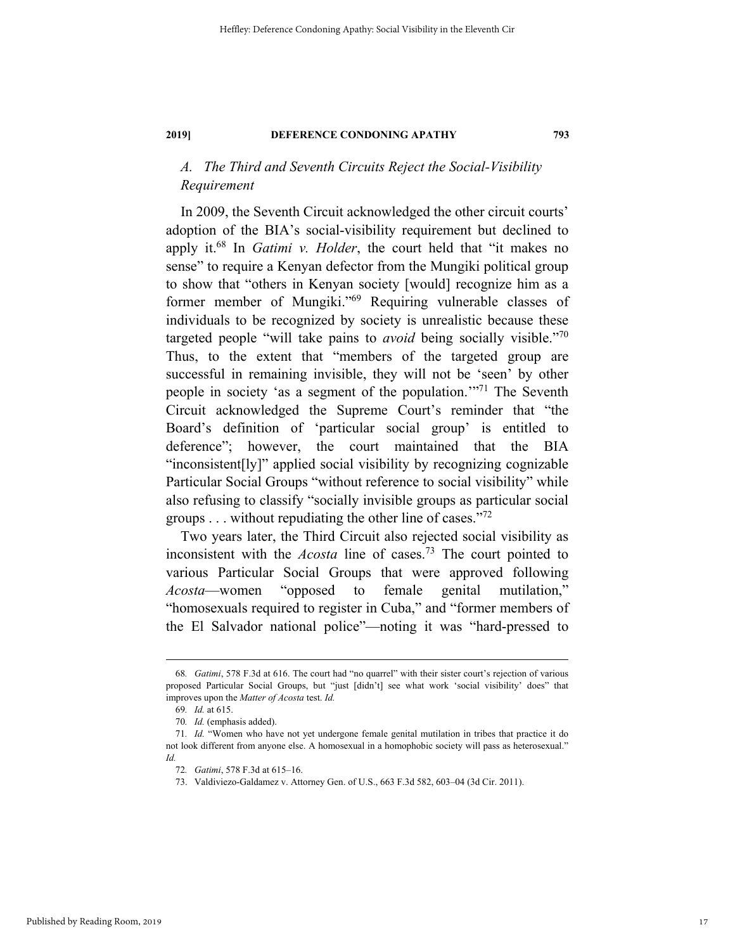# *A. The Third and Seventh Circuits Reject the Social-Visibility Requirement*

In 2009, the Seventh Circuit acknowledged the other circuit courts' adoption of the BIA's social-visibility requirement but declined to apply it.68 In *Gatimi v. Holder*, the court held that "it makes no sense" to require a Kenyan defector from the Mungiki political group to show that "others in Kenyan society [would] recognize him as a former member of Mungiki."<sup>69</sup> Requiring vulnerable classes of individuals to be recognized by society is unrealistic because these targeted people "will take pains to *avoid* being socially visible."70 Thus, to the extent that "members of the targeted group are successful in remaining invisible, they will not be 'seen' by other people in society 'as a segment of the population."<sup>71</sup> The Seventh Circuit acknowledged the Supreme Court's reminder that "the Board's definition of 'particular social group' is entitled to deference"; however, the court maintained that the BIA "inconsistent[ly]" applied social visibility by recognizing cognizable Particular Social Groups "without reference to social visibility" while also refusing to classify "socially invisible groups as particular social groups  $\dots$  without repudiating the other line of cases."<sup>72</sup>

Two years later, the Third Circuit also rejected social visibility as inconsistent with the *Acosta* line of cases.73 The court pointed to various Particular Social Groups that were approved following *Acosta*—women "opposed to female genital mutilation," "homosexuals required to register in Cuba," and "former members of the El Salvador national police"—noting it was "hard-pressed to

 <sup>68</sup>*. Gatimi*, 578 F.3d at 616. The court had "no quarrel" with their sister court's rejection of various proposed Particular Social Groups, but "just [didn't] see what work 'social visibility' does" that improves upon the *Matter of Acosta* test. *Id.*

<sup>69</sup>*. Id.* at 615.

<sup>70</sup>*. Id.* (emphasis added).

<sup>71</sup>*. Id.* "Women who have not yet undergone female genital mutilation in tribes that practice it do not look different from anyone else. A homosexual in a homophobic society will pass as heterosexual." *Id.*

<sup>72</sup>*. Gatimi*, 578 F.3d at 615–16.

 <sup>73.</sup> Valdiviezo-Galdamez v. Attorney Gen. of U.S., 663 F.3d 582, 603–04 (3d Cir. 2011).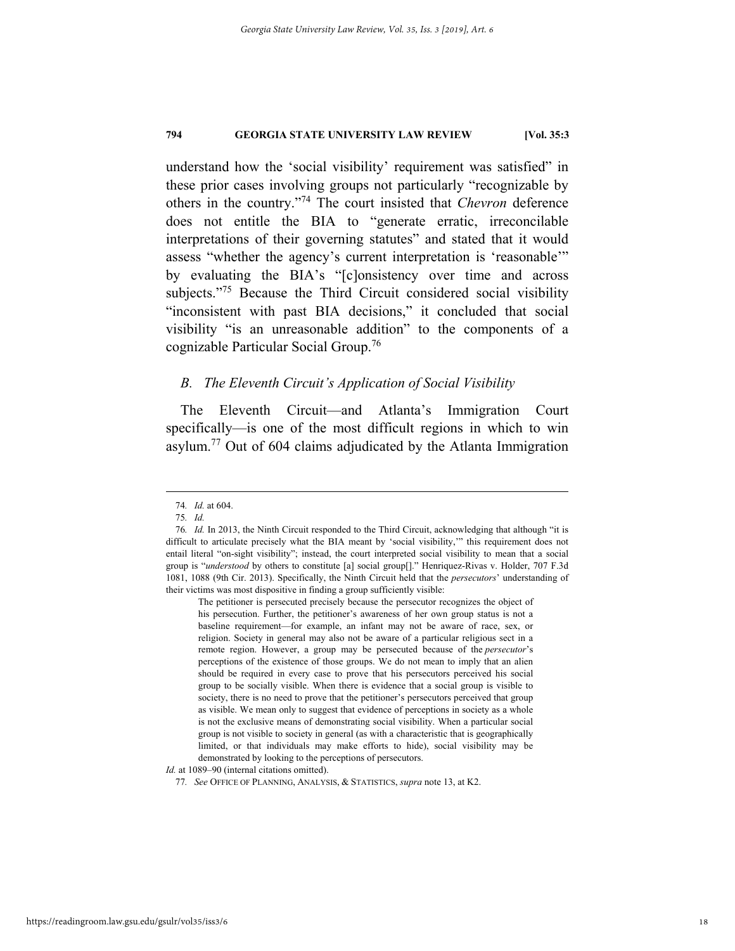understand how the 'social visibility' requirement was satisfied" in these prior cases involving groups not particularly "recognizable by others in the country."74 The court insisted that *Chevron* deference does not entitle the BIA to "generate erratic, irreconcilable interpretations of their governing statutes" and stated that it would assess "whether the agency's current interpretation is 'reasonable'" by evaluating the BIA's "[c]onsistency over time and across subjects."<sup>75</sup> Because the Third Circuit considered social visibility "inconsistent with past BIA decisions," it concluded that social visibility "is an unreasonable addition" to the components of a cognizable Particular Social Group.76

# *B. The Eleventh Circuit's Application of Social Visibility*

The Eleventh Circuit—and Atlanta's Immigration Court specifically—is one of the most difficult regions in which to win asylum.77 Out of 604 claims adjudicated by the Atlanta Immigration

*Id.* at 1089–90 (internal citations omitted).

 <sup>74</sup>*. Id.* at 604.

<sup>75</sup>*. Id.*

<sup>76</sup>*. Id.* In 2013, the Ninth Circuit responded to the Third Circuit, acknowledging that although "it is difficult to articulate precisely what the BIA meant by 'social visibility,'" this requirement does not entail literal "on-sight visibility"; instead, the court interpreted social visibility to mean that a social group is "*understood* by others to constitute [a] social group[]." Henriquez-Rivas v. Holder, 707 F.3d 1081, 1088 (9th Cir. 2013). Specifically, the Ninth Circuit held that the *persecutors*' understanding of their victims was most dispositive in finding a group sufficiently visible:

The petitioner is persecuted precisely because the persecutor recognizes the object of his persecution. Further, the petitioner's awareness of her own group status is not a baseline requirement—for example, an infant may not be aware of race, sex, or religion. Society in general may also not be aware of a particular religious sect in a remote region. However, a group may be persecuted because of the *persecutor*'s perceptions of the existence of those groups. We do not mean to imply that an alien should be required in every case to prove that his persecutors perceived his social group to be socially visible. When there is evidence that a social group is visible to society, there is no need to prove that the petitioner's persecutors perceived that group as visible. We mean only to suggest that evidence of perceptions in society as a whole is not the exclusive means of demonstrating social visibility. When a particular social group is not visible to society in general (as with a characteristic that is geographically limited, or that individuals may make efforts to hide), social visibility may be demonstrated by looking to the perceptions of persecutors.

<sup>77</sup>*. See* OFFICE OF PLANNING, ANALYSIS, & STATISTICS, *supra* note 13, at K2.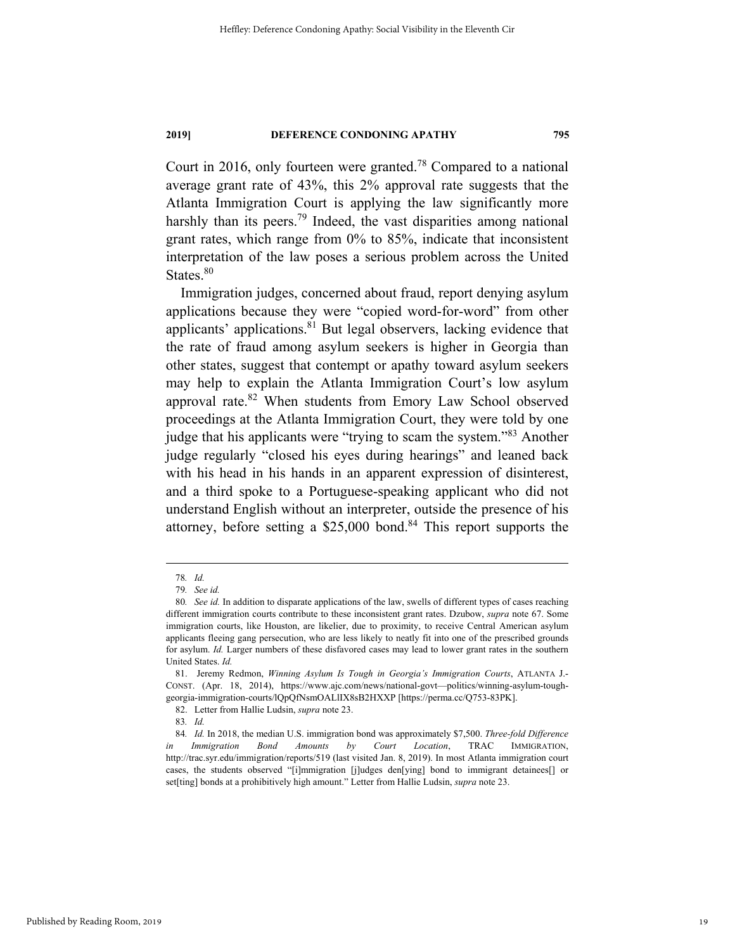Court in 2016, only fourteen were granted.78 Compared to a national average grant rate of 43%, this 2% approval rate suggests that the Atlanta Immigration Court is applying the law significantly more harshly than its peers.<sup>79</sup> Indeed, the vast disparities among national grant rates, which range from 0% to 85%, indicate that inconsistent interpretation of the law poses a serious problem across the United States.<sup>80</sup>

Immigration judges, concerned about fraud, report denying asylum applications because they were "copied word-for-word" from other applicants' applications. $81$  But legal observers, lacking evidence that the rate of fraud among asylum seekers is higher in Georgia than other states, suggest that contempt or apathy toward asylum seekers may help to explain the Atlanta Immigration Court's low asylum approval rate.<sup>82</sup> When students from Emory Law School observed proceedings at the Atlanta Immigration Court, they were told by one judge that his applicants were "trying to scam the system."83 Another judge regularly "closed his eyes during hearings" and leaned back with his head in his hands in an apparent expression of disinterest, and a third spoke to a Portuguese-speaking applicant who did not understand English without an interpreter, outside the presence of his attorney, before setting a \$25,000 bond.<sup>84</sup> This report supports the

 <sup>78</sup>*. Id.*

<sup>79</sup>*. See id.*

<sup>80</sup>*. See id.* In addition to disparate applications of the law, swells of different types of cases reaching different immigration courts contribute to these inconsistent grant rates. Dzubow, *supra* note 67. Some immigration courts, like Houston, are likelier, due to proximity, to receive Central American asylum applicants fleeing gang persecution, who are less likely to neatly fit into one of the prescribed grounds for asylum. *Id.* Larger numbers of these disfavored cases may lead to lower grant rates in the southern United States. *Id.*

 <sup>81.</sup> Jeremy Redmon, *Winning Asylum Is Tough in Georgia's Immigration Courts*, ATLANTA J.- CONST. (Apr. 18, 2014), https://www.ajc.com/news/national-govt—politics/winning-asylum-toughgeorgia-immigration-courts/lQpQfNsmOALlIX8sB2HXXP [https://perma.cc/Q753-83PK].

 <sup>82.</sup> Letter from Hallie Ludsin, *supra* note 23.

<sup>83</sup>*. Id.* 

<sup>84</sup>*. Id.* In 2018, the median U.S. immigration bond was approximately \$7,500. *Three-fold Difference in Immigration Bond Amounts by Court Location*, TRAC IMMIGRATION, http://trac.syr.edu/immigration/reports/519 (last visited Jan. 8, 2019). In most Atlanta immigration court cases, the students observed "[i]mmigration [j]udges den[ying] bond to immigrant detainees[] or set[ting] bonds at a prohibitively high amount." Letter from Hallie Ludsin, *supra* note 23.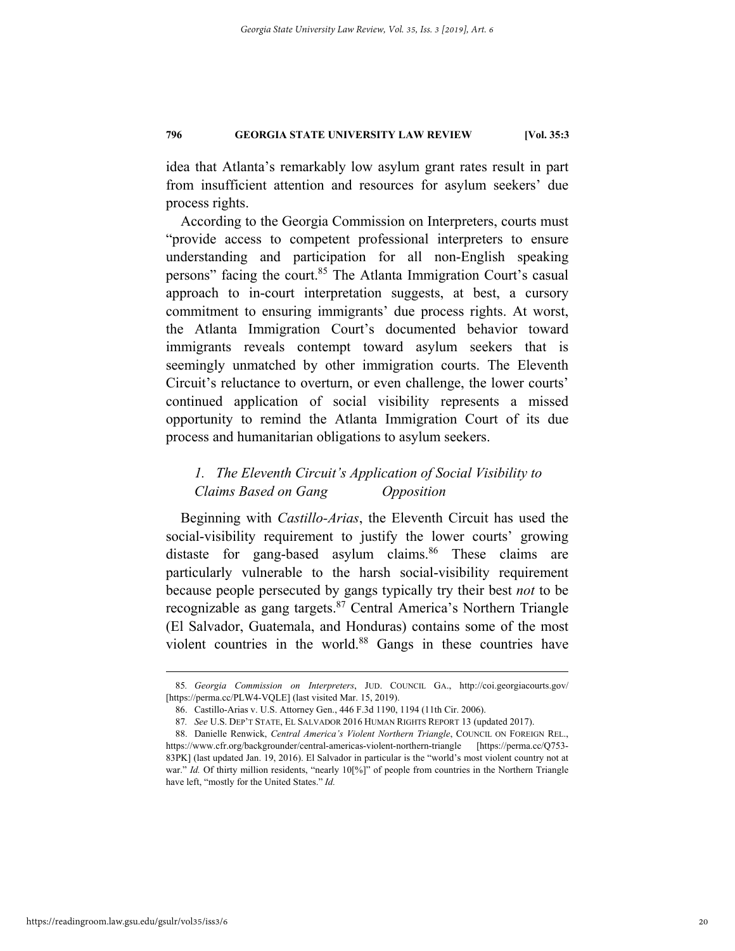idea that Atlanta's remarkably low asylum grant rates result in part from insufficient attention and resources for asylum seekers' due process rights.

According to the Georgia Commission on Interpreters, courts must "provide access to competent professional interpreters to ensure understanding and participation for all non-English speaking persons" facing the court.<sup>85</sup> The Atlanta Immigration Court's casual approach to in-court interpretation suggests, at best, a cursory commitment to ensuring immigrants' due process rights. At worst, the Atlanta Immigration Court's documented behavior toward immigrants reveals contempt toward asylum seekers that is seemingly unmatched by other immigration courts. The Eleventh Circuit's reluctance to overturn, or even challenge, the lower courts' continued application of social visibility represents a missed opportunity to remind the Atlanta Immigration Court of its due process and humanitarian obligations to asylum seekers.

# *1. The Eleventh Circuit's Application of Social Visibility to Claims Based on Gang Opposition*

Beginning with *Castillo-Arias*, the Eleventh Circuit has used the social-visibility requirement to justify the lower courts' growing distaste for gang-based asylum claims.<sup>86</sup> These claims are particularly vulnerable to the harsh social-visibility requirement because people persecuted by gangs typically try their best *not* to be recognizable as gang targets.87 Central America's Northern Triangle (El Salvador, Guatemala, and Honduras) contains some of the most violent countries in the world.88 Gangs in these countries have

 <sup>85</sup>*. Georgia Commission on Interpreters*, JUD. COUNCIL GA., http://coi.georgiacourts.gov/ [https://perma.cc/PLW4-VQLE] (last visited Mar. 15, 2019).

 <sup>86.</sup> Castillo-Arias v. U.S. Attorney Gen., 446 F.3d 1190, 1194 (11th Cir. 2006).

<sup>87</sup>*. See* U.S. DEP'T STATE, EL SALVADOR 2016 HUMAN RIGHTS REPORT 13 (updated 2017).

 <sup>88.</sup> Danielle Renwick, *Central America's Violent Northern Triangle*, COUNCIL ON FOREIGN REL., https://www.cfr.org/backgrounder/central-americas-violent-northern-triangle [https://perma.cc/Q753- 83PK] (last updated Jan. 19, 2016). El Salvador in particular is the "world's most violent country not at war." *Id.* Of thirty million residents, "nearly 10[%]" of people from countries in the Northern Triangle have left, "mostly for the United States." *Id.*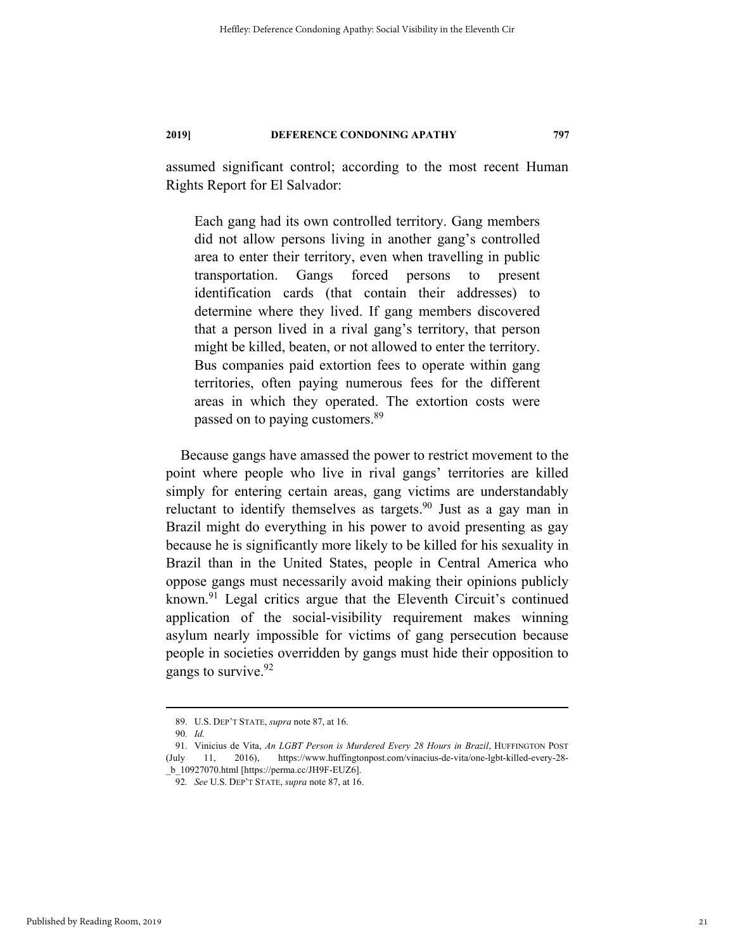assumed significant control; according to the most recent Human Rights Report for El Salvador:

Each gang had its own controlled territory. Gang members did not allow persons living in another gang's controlled area to enter their territory, even when travelling in public transportation. Gangs forced persons to present identification cards (that contain their addresses) to determine where they lived. If gang members discovered that a person lived in a rival gang's territory, that person might be killed, beaten, or not allowed to enter the territory. Bus companies paid extortion fees to operate within gang territories, often paying numerous fees for the different areas in which they operated. The extortion costs were passed on to paying customers.<sup>89</sup>

Because gangs have amassed the power to restrict movement to the point where people who live in rival gangs' territories are killed simply for entering certain areas, gang victims are understandably reluctant to identify themselves as targets.<sup>90</sup> Just as a gay man in Brazil might do everything in his power to avoid presenting as gay because he is significantly more likely to be killed for his sexuality in Brazil than in the United States, people in Central America who oppose gangs must necessarily avoid making their opinions publicly known.<sup>91</sup> Legal critics argue that the Eleventh Circuit's continued application of the social-visibility requirement makes winning asylum nearly impossible for victims of gang persecution because people in societies overridden by gangs must hide their opposition to gangs to survive.<sup>92</sup>

 <sup>89.</sup> U.S. DEP'T STATE, *supra* note 87, at 16.

<sup>90</sup>*. Id.*

 <sup>91.</sup> Vinicius de Vita, *An LGBT Person is Murdered Every 28 Hours in Brazil*, HUFFINGTON POST (July 11, 2016), https://www.huffingtonpost.com/vinacius-de-vita/one-lgbt-killed-every-28- \_b\_10927070.html [https://perma.cc/JH9F-EUZ6].

<sup>92</sup>*. See* U.S. DEP'T STATE, *supra* note 87, at 16.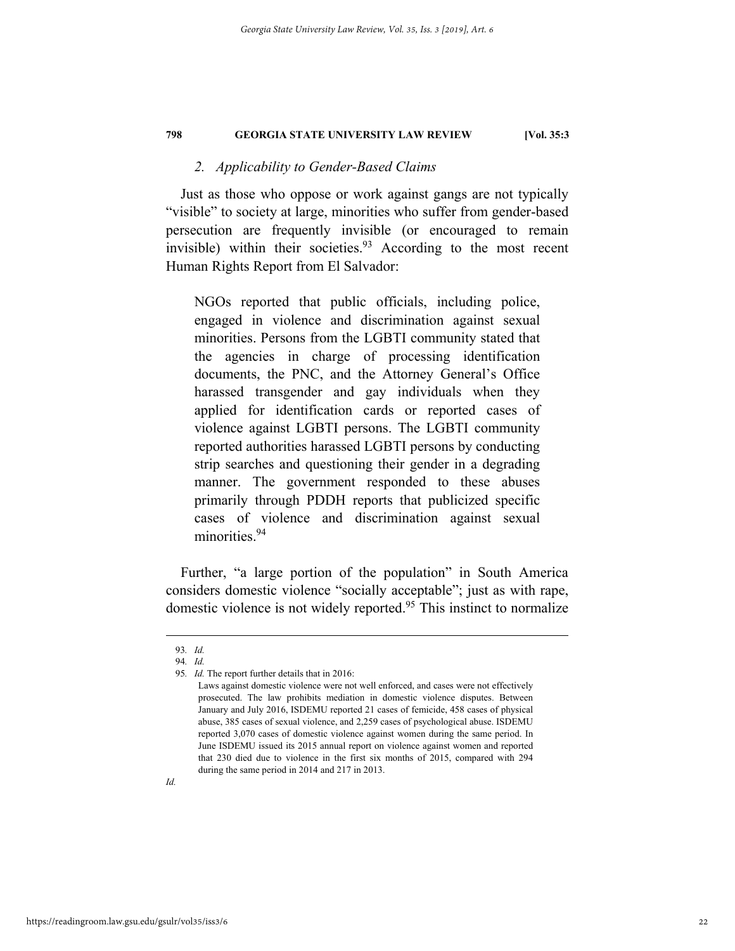# *2. Applicability to Gender-Based Claims*

Just as those who oppose or work against gangs are not typically "visible" to society at large, minorities who suffer from gender-based persecution are frequently invisible (or encouraged to remain invisible) within their societies. $93$  According to the most recent Human Rights Report from El Salvador:

NGOs reported that public officials, including police, engaged in violence and discrimination against sexual minorities. Persons from the LGBTI community stated that the agencies in charge of processing identification documents, the PNC, and the Attorney General's Office harassed transgender and gay individuals when they applied for identification cards or reported cases of violence against LGBTI persons. The LGBTI community reported authorities harassed LGBTI persons by conducting strip searches and questioning their gender in a degrading manner. The government responded to these abuses primarily through PDDH reports that publicized specific cases of violence and discrimination against sexual minorities.<sup>94</sup>

Further, "a large portion of the population" in South America considers domestic violence "socially acceptable"; just as with rape, domestic violence is not widely reported.<sup>95</sup> This instinct to normalize

 <sup>93</sup>*. Id.* 

<sup>94</sup>*. Id.*

<sup>95</sup>*. Id.* The report further details that in 2016:

Laws against domestic violence were not well enforced, and cases were not effectively prosecuted. The law prohibits mediation in domestic violence disputes. Between January and July 2016, ISDEMU reported 21 cases of femicide, 458 cases of physical abuse, 385 cases of sexual violence, and 2,259 cases of psychological abuse. ISDEMU reported 3,070 cases of domestic violence against women during the same period. In June ISDEMU issued its 2015 annual report on violence against women and reported that 230 died due to violence in the first six months of 2015, compared with 294 during the same period in 2014 and 217 in 2013.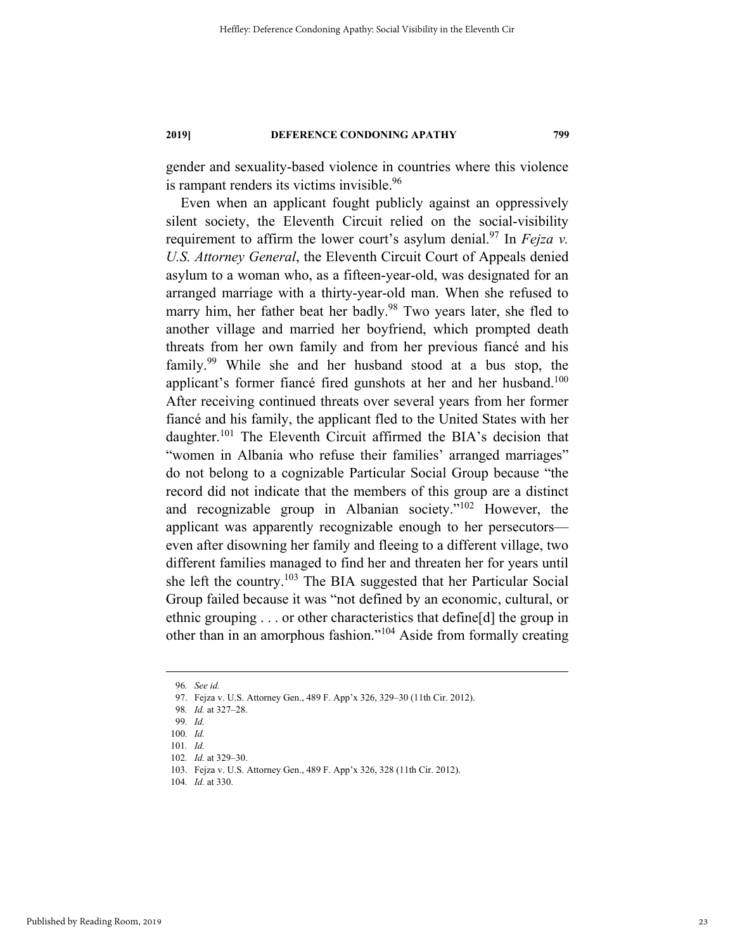gender and sexuality-based violence in countries where this violence is rampant renders its victims invisible.<sup>96</sup>

Even when an applicant fought publicly against an oppressively silent society, the Eleventh Circuit relied on the social-visibility requirement to affirm the lower court's asylum denial.<sup>97</sup> In *Fejza v*. *U.S. Attorney General*, the Eleventh Circuit Court of Appeals denied asylum to a woman who, as a fifteen-year-old, was designated for an arranged marriage with a thirty-year-old man. When she refused to marry him, her father beat her badly.<sup>98</sup> Two years later, she fled to another village and married her boyfriend, which prompted death threats from her own family and from her previous fiancé and his family.<sup>99</sup> While she and her husband stood at a bus stop, the applicant's former fiancé fired gunshots at her and her husband.<sup>100</sup> After receiving continued threats over several years from her former fiancé and his family, the applicant fled to the United States with her daughter.<sup>101</sup> The Eleventh Circuit affirmed the BIA's decision that "women in Albania who refuse their families' arranged marriages" do not belong to a cognizable Particular Social Group because "the record did not indicate that the members of this group are a distinct and recognizable group in Albanian society."102 However, the applicant was apparently recognizable enough to her persecutors even after disowning her family and fleeing to a different village, two different families managed to find her and threaten her for years until she left the country.103 The BIA suggested that her Particular Social Group failed because it was "not defined by an economic, cultural, or ethnic grouping . . . or other characteristics that define[d] the group in other than in an amorphous fashion."104 Aside from formally creating

 <sup>96</sup>*. See id.*

 <sup>97.</sup> Fejza v. U.S. Attorney Gen., 489 F. App'x 326, 329–30 (11th Cir. 2012).

<sup>98</sup>*. Id.* at 327–28.

<sup>99</sup>*. Id.*

<sup>100</sup>*. Id.*

<sup>101</sup>*. Id.*

<sup>102</sup>*. Id.* at 329–30.

 <sup>103.</sup> Fejza v. U.S. Attorney Gen., 489 F. App'x 326, 328 (11th Cir. 2012).

<sup>104</sup>*. Id.* at 330.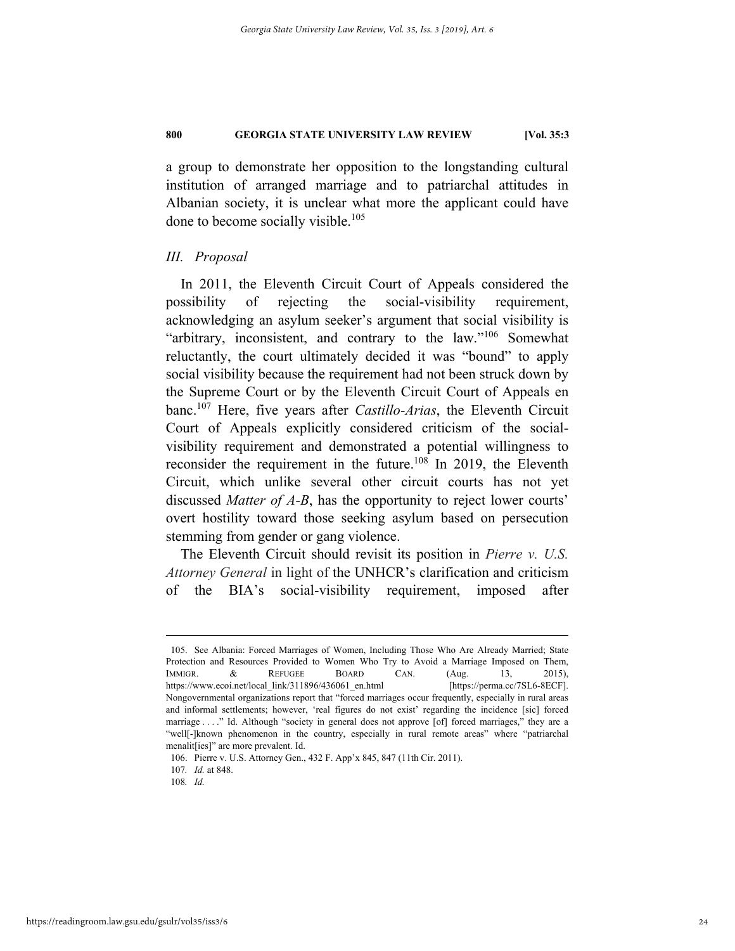a group to demonstrate her opposition to the longstanding cultural institution of arranged marriage and to patriarchal attitudes in Albanian society, it is unclear what more the applicant could have done to become socially visible.<sup>105</sup>

# *III. Proposal*

In 2011, the Eleventh Circuit Court of Appeals considered the possibility of rejecting the social-visibility requirement, acknowledging an asylum seeker's argument that social visibility is "arbitrary, inconsistent, and contrary to the law."<sup>106</sup> Somewhat reluctantly, the court ultimately decided it was "bound" to apply social visibility because the requirement had not been struck down by the Supreme Court or by the Eleventh Circuit Court of Appeals en banc.107 Here, five years after *Castillo-Arias*, the Eleventh Circuit Court of Appeals explicitly considered criticism of the socialvisibility requirement and demonstrated a potential willingness to reconsider the requirement in the future.<sup>108</sup> In 2019, the Eleventh Circuit, which unlike several other circuit courts has not yet discussed *Matter of A-B*, has the opportunity to reject lower courts' overt hostility toward those seeking asylum based on persecution stemming from gender or gang violence.

The Eleventh Circuit should revisit its position in *Pierre v. U.S. Attorney General* in light of the UNHCR's clarification and criticism of the BIA's social-visibility requirement, imposed after

 <sup>105.</sup> See Albania: Forced Marriages of Women, Including Those Who Are Already Married; State Protection and Resources Provided to Women Who Try to Avoid a Marriage Imposed on Them, IMMIGR. & REFUGEE BOARD CAN. (Aug. 13, 2015), https://www.ecoi.net/local\_link/311896/436061\_en.html [https://perma.cc/7SL6-8ECF]. Nongovernmental organizations report that "forced marriages occur frequently, especially in rural areas and informal settlements; however, 'real figures do not exist' regarding the incidence [sic] forced marriage . . . ." Id. Although "society in general does not approve [of] forced marriages," they are a "well[-]known phenomenon in the country, especially in rural remote areas" where "patriarchal menalit[ies]" are more prevalent. Id.

 <sup>106.</sup> Pierre v. U.S. Attorney Gen., 432 F. App'x 845, 847 (11th Cir. 2011).

<sup>107</sup>*. Id.* at 848.

<sup>108</sup>*. Id.*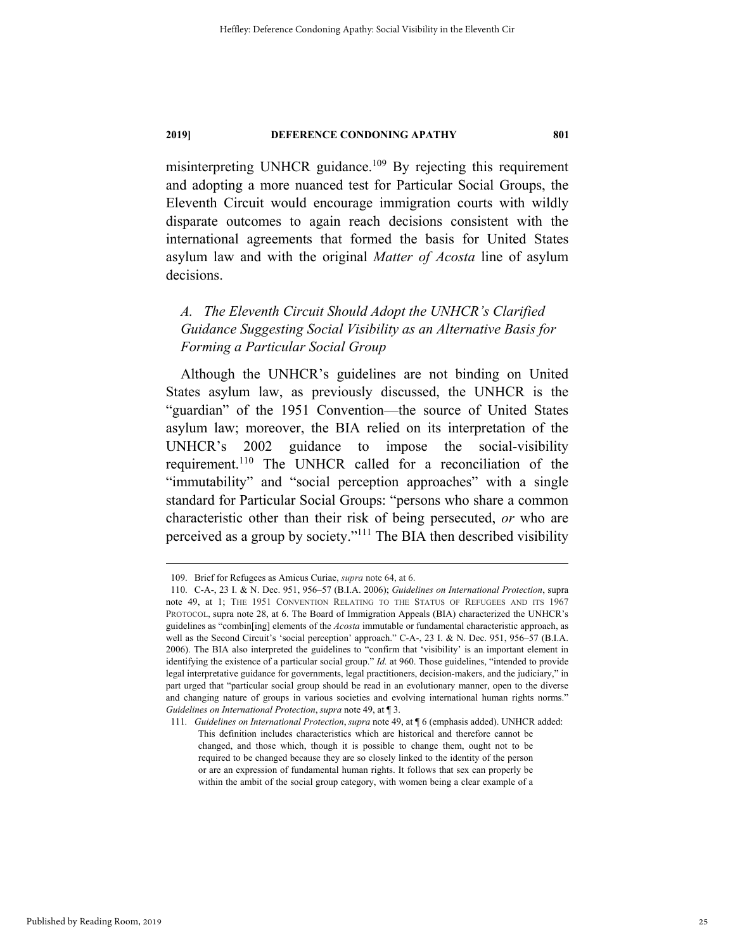misinterpreting UNHCR guidance.<sup>109</sup> By rejecting this requirement and adopting a more nuanced test for Particular Social Groups, the Eleventh Circuit would encourage immigration courts with wildly disparate outcomes to again reach decisions consistent with the international agreements that formed the basis for United States asylum law and with the original *Matter of Acosta* line of asylum decisions.

# *A. The Eleventh Circuit Should Adopt the UNHCR's Clarified Guidance Suggesting Social Visibility as an Alternative Basis for Forming a Particular Social Group*

Although the UNHCR's guidelines are not binding on United States asylum law, as previously discussed, the UNHCR is the "guardian" of the 1951 Convention—the source of United States asylum law; moreover, the BIA relied on its interpretation of the UNHCR's 2002 guidance to impose the social-visibility requirement.110 The UNHCR called for a reconciliation of the "immutability" and "social perception approaches" with a single standard for Particular Social Groups: "persons who share a common characteristic other than their risk of being persecuted, *or* who are perceived as a group by society."111 The BIA then described visibility

 <sup>109.</sup> Brief for Refugees as Amicus Curiae, *supra* note 64, at 6.

 <sup>110.</sup> C-A-, 23 I. & N. Dec. 951, 956–57 (B.I.A. 2006); *Guidelines on International Protection*, supra note 49, at 1; THE 1951 CONVENTION RELATING TO THE STATUS OF REFUGEES AND ITS 1967 PROTOCOL, supra note 28, at 6. The Board of Immigration Appeals (BIA) characterized the UNHCR's guidelines as "combin[ing] elements of the *Acosta* immutable or fundamental characteristic approach, as well as the Second Circuit's 'social perception' approach." C-A-, 23 I. & N. Dec. 951, 956–57 (B.I.A. 2006). The BIA also interpreted the guidelines to "confirm that 'visibility' is an important element in identifying the existence of a particular social group." *Id.* at 960. Those guidelines, "intended to provide legal interpretative guidance for governments, legal practitioners, decision-makers, and the judiciary," in part urged that "particular social group should be read in an evolutionary manner, open to the diverse and changing nature of groups in various societies and evolving international human rights norms." *Guidelines on International Protection*, *supra* note 49, at ¶ 3.

<sup>111</sup>*. Guidelines on International Protection*, *supra* note 49, at ¶ 6 (emphasis added). UNHCR added: This definition includes characteristics which are historical and therefore cannot be changed, and those which, though it is possible to change them, ought not to be required to be changed because they are so closely linked to the identity of the person or are an expression of fundamental human rights. It follows that sex can properly be within the ambit of the social group category, with women being a clear example of a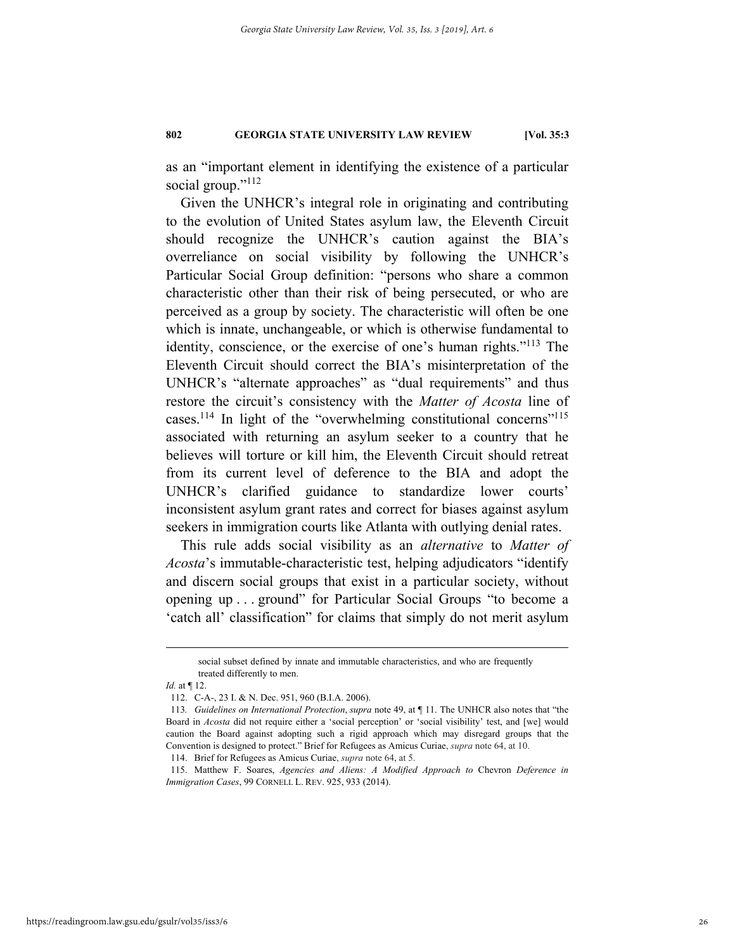as an "important element in identifying the existence of a particular social group."<sup>112</sup>

Given the UNHCR's integral role in originating and contributing to the evolution of United States asylum law, the Eleventh Circuit should recognize the UNHCR's caution against the BIA's overreliance on social visibility by following the UNHCR's Particular Social Group definition: "persons who share a common characteristic other than their risk of being persecuted, or who are perceived as a group by society. The characteristic will often be one which is innate, unchangeable, or which is otherwise fundamental to identity, conscience, or the exercise of one's human rights."113 The Eleventh Circuit should correct the BIA's misinterpretation of the UNHCR's "alternate approaches" as "dual requirements" and thus restore the circuit's consistency with the *Matter of Acosta* line of cases.<sup>114</sup> In light of the "overwhelming constitutional concerns"<sup>115</sup> associated with returning an asylum seeker to a country that he believes will torture or kill him, the Eleventh Circuit should retreat from its current level of deference to the BIA and adopt the UNHCR's clarified guidance to standardize lower courts' inconsistent asylum grant rates and correct for biases against asylum seekers in immigration courts like Atlanta with outlying denial rates.

This rule adds social visibility as an *alternative* to *Matter of Acosta*'s immutable-characteristic test, helping adjudicators "identify and discern social groups that exist in a particular society, without opening up . . . ground" for Particular Social Groups "to become a 'catch all' classification" for claims that simply do not merit asylum

social subset defined by innate and immutable characteristics, and who are frequently treated differently to men.

*Id.* at ¶ 12.

 <sup>112.</sup> C-A-, 23 I. & N. Dec. 951, 960 (B.I.A. 2006).

<sup>113</sup>*. Guidelines on International Protection*, *supra* note 49, at ¶ 11. The UNHCR also notes that "the Board in *Acosta* did not require either a 'social perception' or 'social visibility' test, and [we] would caution the Board against adopting such a rigid approach which may disregard groups that the Convention is designed to protect." Brief for Refugees as Amicus Curiae, *supra* note 64, at 10.

 <sup>114.</sup> Brief for Refugees as Amicus Curiae, *supra* note 64, at 5.

 <sup>115.</sup> Matthew F. Soares, *Agencies and Aliens: A Modified Approach to* Chevron *Deference in Immigration Cases*, 99 CORNELL L. REV. 925, 933 (2014).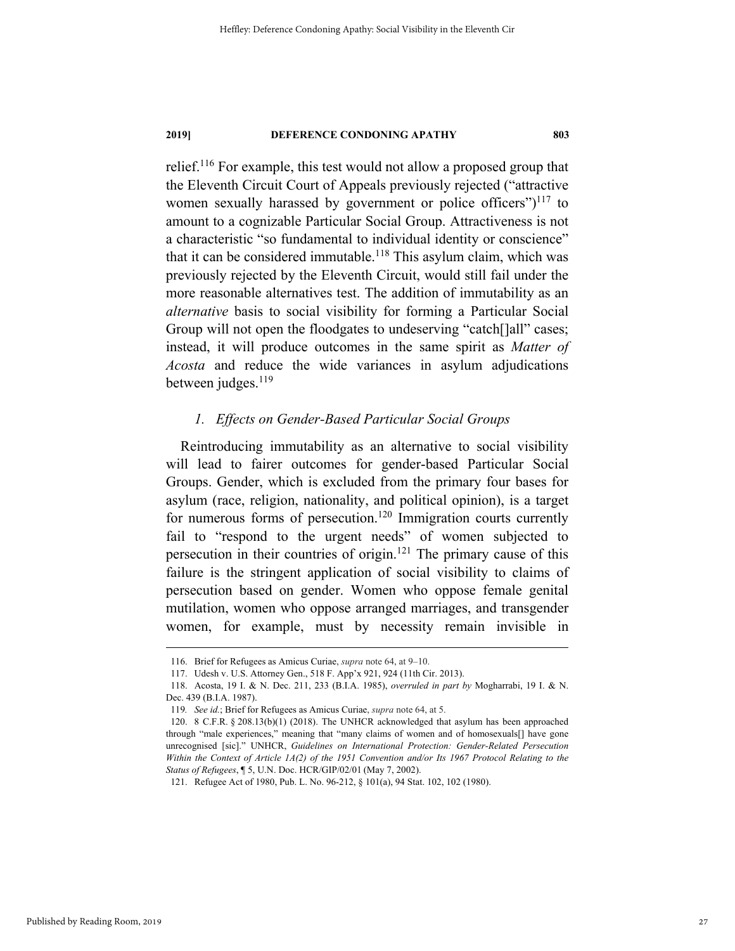relief.116 For example, this test would not allow a proposed group that the Eleventh Circuit Court of Appeals previously rejected ("attractive women sexually harassed by government or police officers") $117$  to amount to a cognizable Particular Social Group. Attractiveness is not a characteristic "so fundamental to individual identity or conscience" that it can be considered immutable.<sup>118</sup> This asylum claim, which was previously rejected by the Eleventh Circuit, would still fail under the more reasonable alternatives test. The addition of immutability as an *alternative* basis to social visibility for forming a Particular Social Group will not open the floodgates to undeserving "catch[]all" cases; instead, it will produce outcomes in the same spirit as *Matter of Acosta* and reduce the wide variances in asylum adjudications between judges. $119$ 

# *1. Effects on Gender-Based Particular Social Groups*

Reintroducing immutability as an alternative to social visibility will lead to fairer outcomes for gender-based Particular Social Groups. Gender, which is excluded from the primary four bases for asylum (race, religion, nationality, and political opinion), is a target for numerous forms of persecution.<sup>120</sup> Immigration courts currently fail to "respond to the urgent needs" of women subjected to persecution in their countries of origin.121 The primary cause of this failure is the stringent application of social visibility to claims of persecution based on gender. Women who oppose female genital mutilation, women who oppose arranged marriages, and transgender women, for example, must by necessity remain invisible in

 <sup>116.</sup> Brief for Refugees as Amicus Curiae, *supra* note 64, at 9–10.

 <sup>117.</sup> Udesh v. U.S. Attorney Gen., 518 F. App'x 921, 924 (11th Cir. 2013).

 <sup>118.</sup> Acosta, 19 I. & N. Dec. 211, 233 (B.I.A. 1985), *overruled in part by* Mogharrabi, 19 I. & N. Dec. 439 (B.I.A. 1987).

<sup>119</sup>*. See id.*; Brief for Refugees as Amicus Curiae, *supra* note 64, at 5.

 <sup>120. 8</sup> C.F.R. § 208.13(b)(1) (2018). The UNHCR acknowledged that asylum has been approached through "male experiences," meaning that "many claims of women and of homosexuals[] have gone unrecognised [sic]." UNHCR, *Guidelines on International Protection: Gender-Related Persecution Within the Context of Article 1A(2) of the 1951 Convention and/or Its 1967 Protocol Relating to the Status of Refugees*, ¶ 5, U.N. Doc. HCR/GIP/02/01 (May 7, 2002).

 <sup>121.</sup> Refugee Act of 1980, Pub. L. No. 96-212, § 101(a), 94 Stat. 102, 102 (1980).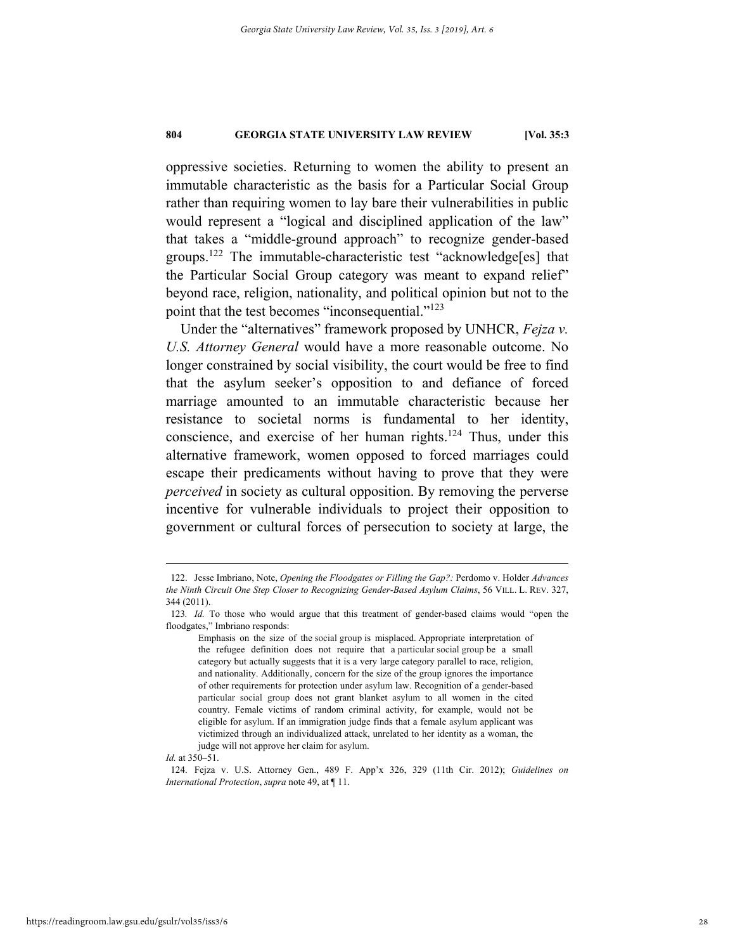oppressive societies. Returning to women the ability to present an immutable characteristic as the basis for a Particular Social Group rather than requiring women to lay bare their vulnerabilities in public would represent a "logical and disciplined application of the law" that takes a "middle-ground approach" to recognize gender-based groups.122 The immutable-characteristic test "acknowledge[es] that the Particular Social Group category was meant to expand relief" beyond race, religion, nationality, and political opinion but not to the point that the test becomes "inconsequential."<sup>123</sup>

Under the "alternatives" framework proposed by UNHCR, *Fejza v. U.S. Attorney General* would have a more reasonable outcome. No longer constrained by social visibility, the court would be free to find that the asylum seeker's opposition to and defiance of forced marriage amounted to an immutable characteristic because her resistance to societal norms is fundamental to her identity, conscience, and exercise of her human rights.124 Thus, under this alternative framework, women opposed to forced marriages could escape their predicaments without having to prove that they were *perceived* in society as cultural opposition. By removing the perverse incentive for vulnerable individuals to project their opposition to government or cultural forces of persecution to society at large, the

*Id.* at 350–51.

 124. Fejza v. U.S. Attorney Gen., 489 F. App'x 326, 329 (11th Cir. 2012); *Guidelines on International Protection*, *supra* note 49, at ¶ 11.

 <sup>122.</sup> Jesse Imbriano, Note, *Opening the Floodgates or Filling the Gap?:* Perdomo v. Holder *Advances the Ninth Circuit One Step Closer to Recognizing Gender-Based Asylum Claims*, 56 VILL. L. REV. 327, 344 (2011).

<sup>123</sup>*. Id.* To those who would argue that this treatment of gender-based claims would "open the floodgates," Imbriano responds:

Emphasis on the size of the social group is misplaced. Appropriate interpretation of the refugee definition does not require that a particular social group be a small category but actually suggests that it is a very large category parallel to race, religion, and nationality. Additionally, concern for the size of the group ignores the importance of other requirements for protection under asylum law. Recognition of a gender-based particular social group does not grant blanket asylum to all women in the cited country. Female victims of random criminal activity, for example, would not be eligible for asylum. If an immigration judge finds that a female asylum applicant was victimized through an individualized attack, unrelated to her identity as a woman, the judge will not approve her claim for asylum.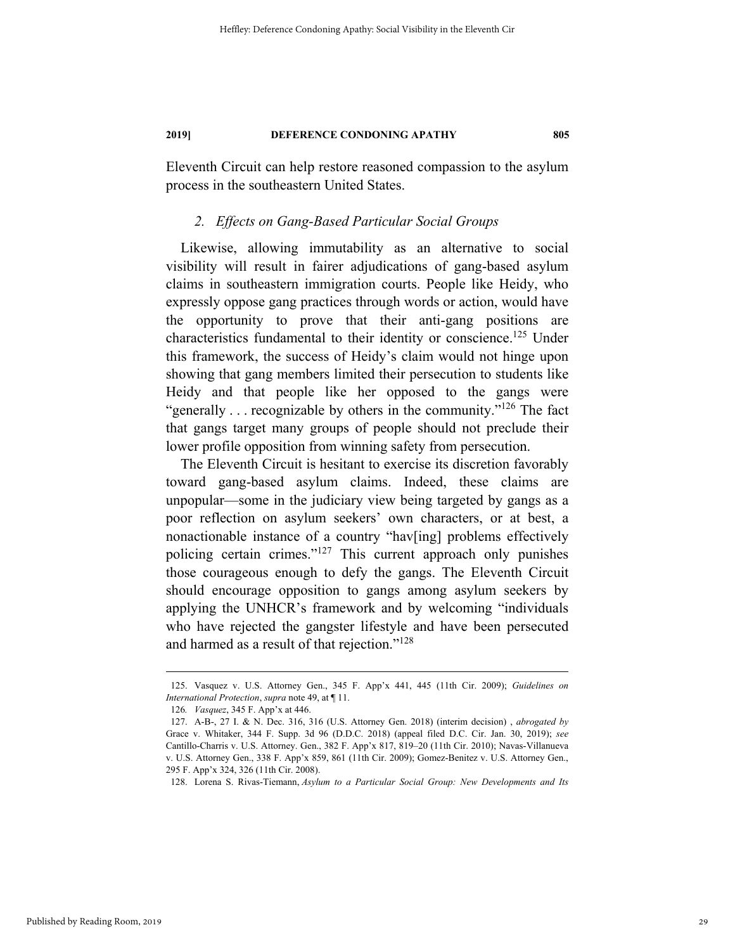Eleventh Circuit can help restore reasoned compassion to the asylum process in the southeastern United States.

# *2. Effects on Gang-Based Particular Social Groups*

Likewise, allowing immutability as an alternative to social visibility will result in fairer adjudications of gang-based asylum claims in southeastern immigration courts. People like Heidy, who expressly oppose gang practices through words or action, would have the opportunity to prove that their anti-gang positions are characteristics fundamental to their identity or conscience.<sup>125</sup> Under this framework, the success of Heidy's claim would not hinge upon showing that gang members limited their persecution to students like Heidy and that people like her opposed to the gangs were "generally  $\ldots$  recognizable by others in the community."<sup>126</sup> The fact that gangs target many groups of people should not preclude their lower profile opposition from winning safety from persecution.

The Eleventh Circuit is hesitant to exercise its discretion favorably toward gang-based asylum claims. Indeed, these claims are unpopular—some in the judiciary view being targeted by gangs as a poor reflection on asylum seekers' own characters, or at best, a nonactionable instance of a country "hav[ing] problems effectively policing certain crimes."127 This current approach only punishes those courageous enough to defy the gangs. The Eleventh Circuit should encourage opposition to gangs among asylum seekers by applying the UNHCR's framework and by welcoming "individuals who have rejected the gangster lifestyle and have been persecuted and harmed as a result of that rejection."<sup>128</sup>

 <sup>125.</sup> Vasquez v. U.S. Attorney Gen., 345 F. App'x 441, 445 (11th Cir. 2009); *Guidelines on International Protection*, *supra* note 49, at ¶ 11.

<sup>126</sup>*. Vasquez*, 345 F. App'x at 446.

 <sup>127.</sup> A-B-, 27 I. & N. Dec. 316, 316 (U.S. Attorney Gen. 2018) (interim decision) , *abrogated by* Grace v. Whitaker, 344 F. Supp. 3d 96 (D.D.C. 2018) (appeal filed D.C. Cir. Jan. 30, 2019); *see* Cantillo-Charris v. U.S. Attorney. Gen., 382 F. App'x 817, 819–20 (11th Cir. 2010); Navas-Villanueva v. U.S. Attorney Gen., 338 F. App'x 859, 861 (11th Cir. 2009); Gomez-Benitez v. U.S. Attorney Gen., 295 F. App'x 324, 326 (11th Cir. 2008).

 <sup>128.</sup> Lorena S. Rivas-Tiemann, *Asylum to a Particular Social Group: New Developments and Its*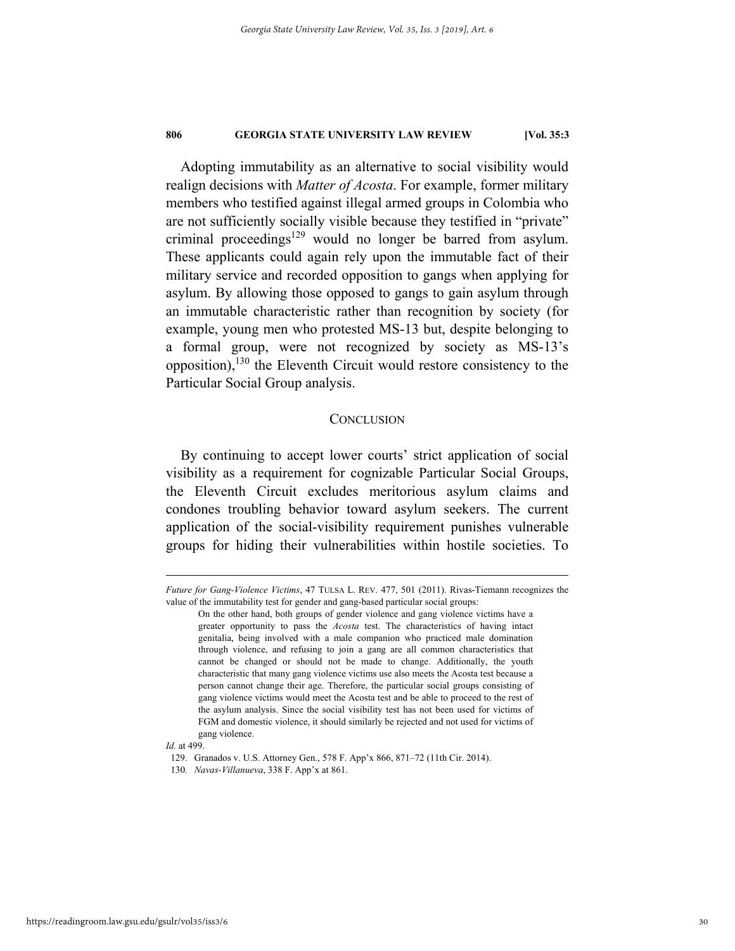Adopting immutability as an alternative to social visibility would realign decisions with *Matter of Acosta*. For example, former military members who testified against illegal armed groups in Colombia who are not sufficiently socially visible because they testified in "private" criminal proceedings<sup>129</sup> would no longer be barred from asylum. These applicants could again rely upon the immutable fact of their military service and recorded opposition to gangs when applying for asylum. By allowing those opposed to gangs to gain asylum through an immutable characteristic rather than recognition by society (for example, young men who protested MS-13 but, despite belonging to a formal group, were not recognized by society as MS-13's opposition),<sup>130</sup> the Eleventh Circuit would restore consistency to the Particular Social Group analysis.

# **CONCLUSION**

By continuing to accept lower courts' strict application of social visibility as a requirement for cognizable Particular Social Groups, the Eleventh Circuit excludes meritorious asylum claims and condones troubling behavior toward asylum seekers. The current application of the social-visibility requirement punishes vulnerable groups for hiding their vulnerabilities within hostile societies. To

1

*Future for Gang-Violence Victims*, 47 TULSA L. REV. 477, 501 (2011). Rivas-Tiemann recognizes the value of the immutability test for gender and gang-based particular social groups:

On the other hand, both groups of gender violence and gang violence victims have a greater opportunity to pass the *Acosta* test. The characteristics of having intact genitalia, being involved with a male companion who practiced male domination through violence, and refusing to join a gang are all common characteristics that cannot be changed or should not be made to change. Additionally, the youth characteristic that many gang violence victims use also meets the Acosta test because a person cannot change their age. Therefore, the particular social groups consisting of gang violence victims would meet the Acosta test and be able to proceed to the rest of the asylum analysis. Since the social visibility test has not been used for victims of FGM and domestic violence, it should similarly be rejected and not used for victims of gang violence.

*Id.* at 499.

 <sup>129.</sup> Granados v. U.S. Attorney Gen., 578 F. App'x 866, 871–72 (11th Cir. 2014).

<sup>130</sup>*. Navas-Villanueva*, 338 F. App'x at 861.